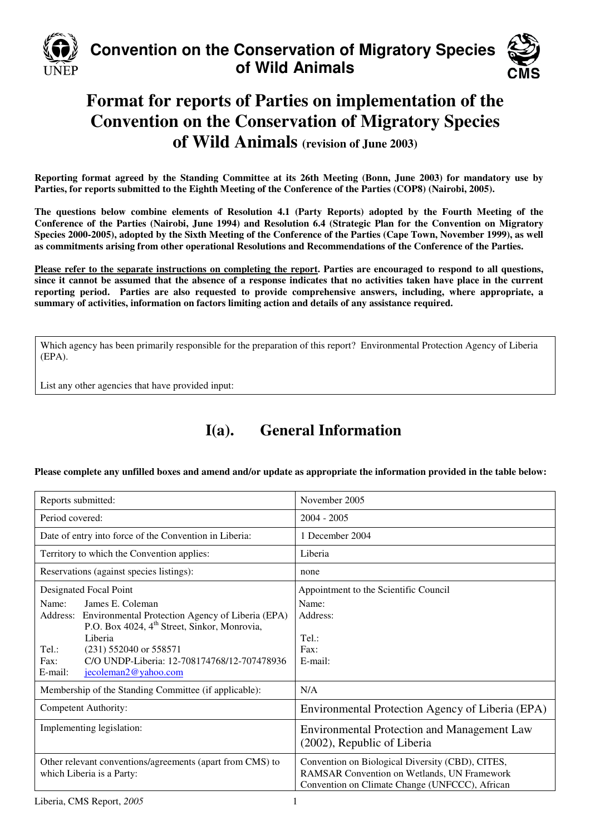

# **Convention on the Conservation of Migratory Species of Wild Animals**



# **Format for reports of Parties on implementation of the Convention on the Conservation of Migratory Species of Wild Animals (revision of June 2003)**

**Reporting format agreed by the Standing Committee at its 26th Meeting (Bonn, June 2003) for mandatory use by Parties, for reports submitted to the Eighth Meeting of the Conference of the Parties (COP8) (Nairobi, 2005).** 

**The questions below combine elements of Resolution 4.1 (Party Reports) adopted by the Fourth Meeting of the Conference of the Parties (Nairobi, June 1994) and Resolution 6.4 (Strategic Plan for the Convention on Migratory Species 2000-2005), adopted by the Sixth Meeting of the Conference of the Parties (Cape Town, November 1999), as well as commitments arising from other operational Resolutions and Recommendations of the Conference of the Parties.** 

**Please refer to the separate instructions on completing the report. Parties are encouraged to respond to all questions, since it cannot be assumed that the absence of a response indicates that no activities taken have place in the current reporting period. Parties are also requested to provide comprehensive answers, including, where appropriate, a summary of activities, information on factors limiting action and details of any assistance required.**

Which agency has been primarily responsible for the preparation of this report? Environmental Protection Agency of Liberia (EPA).

List any other agencies that have provided input:

# **I(a). General Information**

**Please complete any unfilled boxes and amend and/or update as appropriate the information provided in the table below:** 

| Reports submitted:                                                                                                                                                                                                                                                                              | November 2005                                                                                                                                            |
|-------------------------------------------------------------------------------------------------------------------------------------------------------------------------------------------------------------------------------------------------------------------------------------------------|----------------------------------------------------------------------------------------------------------------------------------------------------------|
| Period covered:                                                                                                                                                                                                                                                                                 | $2004 - 2005$                                                                                                                                            |
| Date of entry into force of the Convention in Liberia:                                                                                                                                                                                                                                          | 1 December 2004                                                                                                                                          |
| Territory to which the Convention applies:                                                                                                                                                                                                                                                      | Liberia                                                                                                                                                  |
| Reservations (against species listings):                                                                                                                                                                                                                                                        | none                                                                                                                                                     |
| Designated Focal Point                                                                                                                                                                                                                                                                          | Appointment to the Scientific Council                                                                                                                    |
| James E. Coleman<br>Name:<br>Address:<br>Environmental Protection Agency of Liberia (EPA)<br>P.O. Box 4024, 4 <sup>th</sup> Street, Sinkor, Monrovia,<br>Liberia<br>Tel.:<br>$(231)$ 552040 or 558571<br>C/O UNDP-Liberia: 12-708174768/12-707478936<br>Fax:<br>jecoleman2@yahoo.com<br>E-mail: | Name:<br>Address:<br>Tel.:<br>Fax:<br>E-mail:<br>N/A                                                                                                     |
| Membership of the Standing Committee (if applicable):<br>Competent Authority:                                                                                                                                                                                                                   |                                                                                                                                                          |
| Implementing legislation:                                                                                                                                                                                                                                                                       | Environmental Protection Agency of Liberia (EPA)<br><b>Environmental Protection and Management Law</b><br>(2002), Republic of Liberia                    |
| Other relevant conventions/agreements (apart from CMS) to<br>which Liberia is a Party:                                                                                                                                                                                                          | Convention on Biological Diversity (CBD), CITES,<br><b>RAMSAR Convention on Wetlands, UN Framework</b><br>Convention on Climate Change (UNFCCC), African |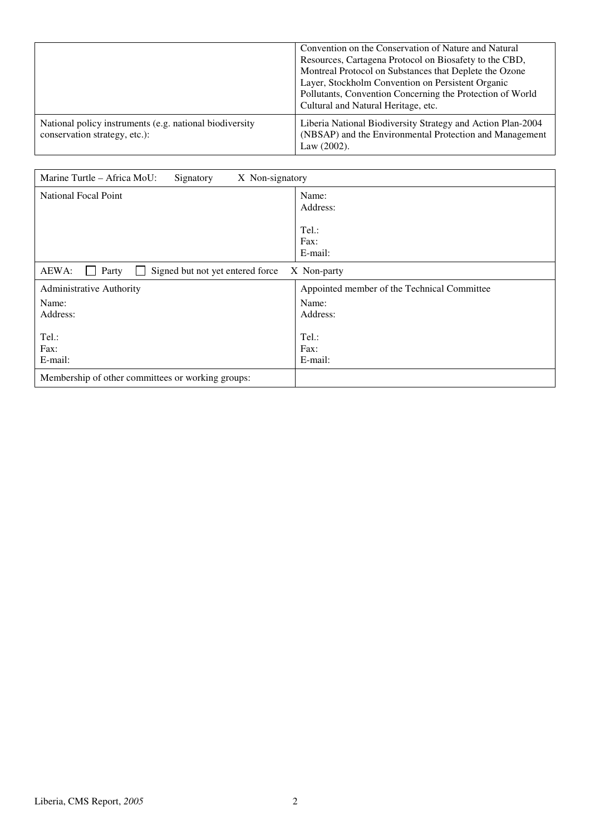|                                                                                          | Convention on the Conservation of Nature and Natural<br>Resources, Cartagena Protocol on Biosafety to the CBD,<br>Montreal Protocol on Substances that Deplete the Ozone<br>Layer, Stockholm Convention on Persistent Organic<br>Pollutants, Convention Concerning the Protection of World<br>Cultural and Natural Heritage, etc. |
|------------------------------------------------------------------------------------------|-----------------------------------------------------------------------------------------------------------------------------------------------------------------------------------------------------------------------------------------------------------------------------------------------------------------------------------|
| National policy instruments (e.g. national biodiversity<br>conservation strategy, etc.): | Liberia National Biodiversity Strategy and Action Plan-2004<br>(NBSAP) and the Environmental Protection and Management<br>Law $(2002)$ .                                                                                                                                                                                          |

| Marine Turtle – Africa MoU:<br>X Non-signatory<br>Signatory |                                             |
|-------------------------------------------------------------|---------------------------------------------|
| <b>National Focal Point</b>                                 | Name:<br>Address:                           |
|                                                             | Tel.:                                       |
|                                                             | Fax:                                        |
|                                                             | E-mail:                                     |
| AEWA:<br>Party<br>Signed but not yet entered force          | X Non-party                                 |
| Administrative Authority                                    | Appointed member of the Technical Committee |
| Name:                                                       | Name:                                       |
| Address:                                                    | Address:                                    |
| Tel.:<br>Fax:<br>E-mail:                                    | Tel.:<br>Fax:<br>E-mail:                    |
| Membership of other committees or working groups:           |                                             |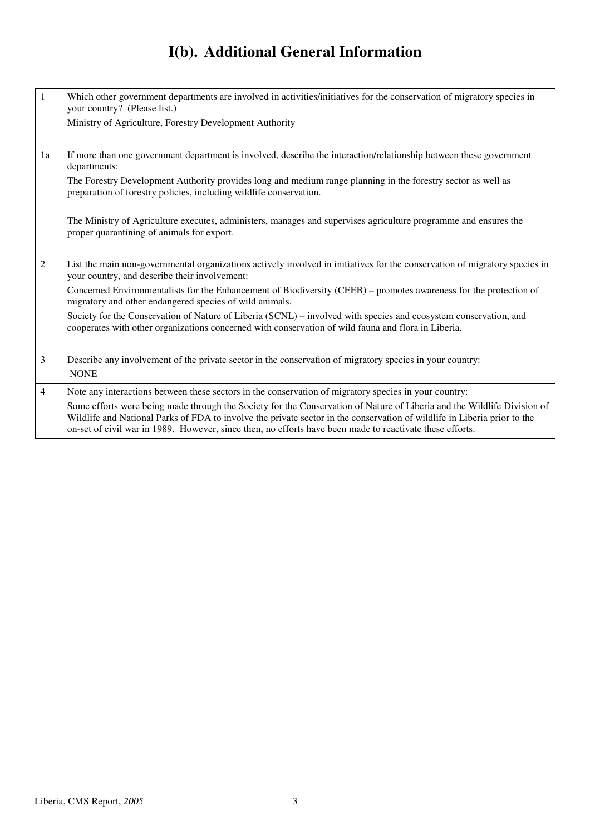# **I(b). Additional General Information**

| $\mathbf{1}$   | Which other government departments are involved in activities/initiatives for the conservation of migratory species in<br>your country? (Please list.)                                                                                                                                                                                                                                                                                                                   |
|----------------|--------------------------------------------------------------------------------------------------------------------------------------------------------------------------------------------------------------------------------------------------------------------------------------------------------------------------------------------------------------------------------------------------------------------------------------------------------------------------|
|                | Ministry of Agriculture, Forestry Development Authority                                                                                                                                                                                                                                                                                                                                                                                                                  |
| 1a             | If more than one government department is involved, describe the interaction/relationship between these government<br>departments:                                                                                                                                                                                                                                                                                                                                       |
|                | The Forestry Development Authority provides long and medium range planning in the forestry sector as well as<br>preparation of forestry policies, including wildlife conservation.                                                                                                                                                                                                                                                                                       |
|                | The Ministry of Agriculture executes, administers, manages and supervises agriculture programme and ensures the<br>proper quarantining of animals for export.                                                                                                                                                                                                                                                                                                            |
| $\overline{2}$ | List the main non-governmental organizations actively involved in initiatives for the conservation of migratory species in<br>your country, and describe their involvement:                                                                                                                                                                                                                                                                                              |
|                | Concerned Environmentalists for the Enhancement of Biodiversity (CEEB) – promotes awareness for the protection of<br>migratory and other endangered species of wild animals.                                                                                                                                                                                                                                                                                             |
|                | Society for the Conservation of Nature of Liberia (SCNL) - involved with species and ecosystem conservation, and<br>cooperates with other organizations concerned with conservation of wild fauna and flora in Liberia.                                                                                                                                                                                                                                                  |
| $\overline{3}$ | Describe any involvement of the private sector in the conservation of migratory species in your country:<br><b>NONE</b>                                                                                                                                                                                                                                                                                                                                                  |
| $\overline{4}$ | Note any interactions between these sectors in the conservation of migratory species in your country:<br>Some efforts were being made through the Society for the Conservation of Nature of Liberia and the Wildlife Division of<br>Wildlife and National Parks of FDA to involve the private sector in the conservation of wildlife in Liberia prior to the<br>on-set of civil war in 1989. However, since then, no efforts have been made to reactivate these efforts. |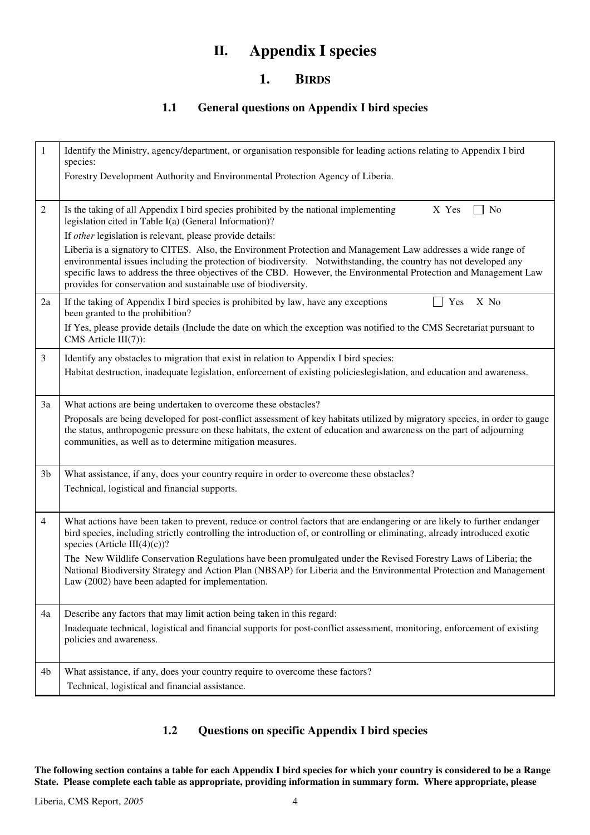# **II. Appendix I species**

### **1. BIRDS**

### **1.1 General questions on Appendix I bird species**

| $\mathbf{1}$   | Identify the Ministry, agency/department, or organisation responsible for leading actions relating to Appendix I bird<br>species:                                                                                                                                                                                                                                                                                           |
|----------------|-----------------------------------------------------------------------------------------------------------------------------------------------------------------------------------------------------------------------------------------------------------------------------------------------------------------------------------------------------------------------------------------------------------------------------|
|                | Forestry Development Authority and Environmental Protection Agency of Liberia.                                                                                                                                                                                                                                                                                                                                              |
| $\mathfrak{2}$ | Is the taking of all Appendix I bird species prohibited by the national implementing<br>No<br>X Yes<br>legislation cited in Table I(a) (General Information)?                                                                                                                                                                                                                                                               |
|                | If other legislation is relevant, please provide details:                                                                                                                                                                                                                                                                                                                                                                   |
|                | Liberia is a signatory to CITES. Also, the Environment Protection and Management Law addresses a wide range of<br>environmental issues including the protection of biodiversity. Notwithstanding, the country has not developed any<br>specific laws to address the three objectives of the CBD. However, the Environmental Protection and Management Law<br>provides for conservation and sustainable use of biodiversity. |
| 2a             | If the taking of Appendix I bird species is prohibited by law, have any exceptions<br>X No<br>Yes<br>been granted to the prohibition?                                                                                                                                                                                                                                                                                       |
|                | If Yes, please provide details (Include the date on which the exception was notified to the CMS Secretariat pursuant to<br>$CMS$ Article $III(7)$ :                                                                                                                                                                                                                                                                         |
| $\mathfrak{Z}$ | Identify any obstacles to migration that exist in relation to Appendix I bird species:                                                                                                                                                                                                                                                                                                                                      |
|                | Habitat destruction, inadequate legislation, enforcement of existing policieslegislation, and education and awareness.                                                                                                                                                                                                                                                                                                      |
| 3a             | What actions are being undertaken to overcome these obstacles?                                                                                                                                                                                                                                                                                                                                                              |
|                | Proposals are being developed for post-conflict assessment of key habitats utilized by migratory species, in order to gauge<br>the status, anthropogenic pressure on these habitats, the extent of education and awareness on the part of adjourning<br>communities, as well as to determine mitigation measures.                                                                                                           |
| 3 <sub>b</sub> | What assistance, if any, does your country require in order to overcome these obstacles?<br>Technical, logistical and financial supports.                                                                                                                                                                                                                                                                                   |
| 4              | What actions have been taken to prevent, reduce or control factors that are endangering or are likely to further endanger<br>bird species, including strictly controlling the introduction of, or controlling or eliminating, already introduced exotic<br>species (Article III(4)(c))?                                                                                                                                     |
|                | The New Wildlife Conservation Regulations have been promulgated under the Revised Forestry Laws of Liberia; the<br>National Biodiversity Strategy and Action Plan (NBSAP) for Liberia and the Environmental Protection and Management<br>Law (2002) have been adapted for implementation.                                                                                                                                   |
| 4a             | Describe any factors that may limit action being taken in this regard:                                                                                                                                                                                                                                                                                                                                                      |
|                | Inadequate technical, logistical and financial supports for post-conflict assessment, monitoring, enforcement of existing<br>policies and awareness.                                                                                                                                                                                                                                                                        |
| 4b             | What assistance, if any, does your country require to overcome these factors?                                                                                                                                                                                                                                                                                                                                               |
|                | Technical, logistical and financial assistance.                                                                                                                                                                                                                                                                                                                                                                             |

### **1.2 Questions on specific Appendix I bird species**

**The following section contains a table for each Appendix I bird species for which your country is considered to be a Range State. Please complete each table as appropriate, providing information in summary form. Where appropriate, please**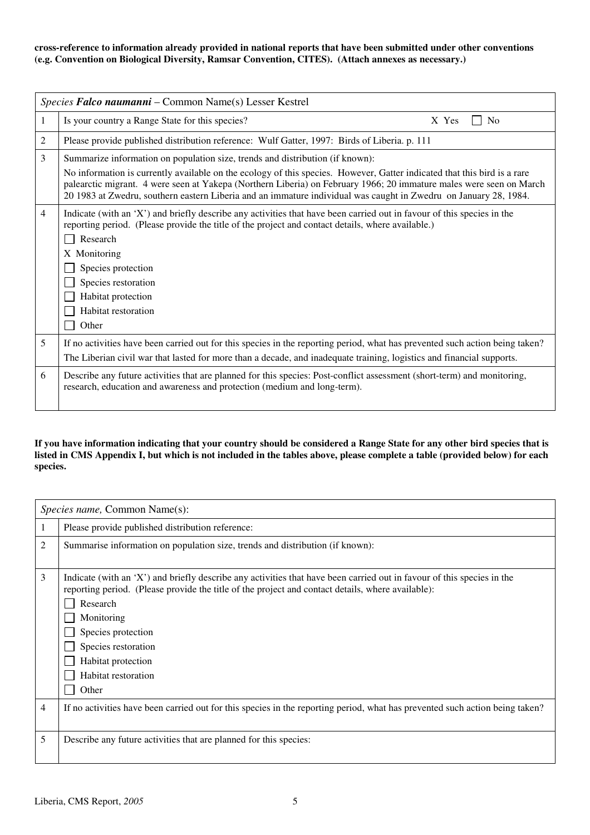#### **cross-reference to information already provided in national reports that have been submitted under other conventions (e.g. Convention on Biological Diversity, Ramsar Convention, CITES). (Attach annexes as necessary.)**

|   | Species Falco naumanni - Common Name(s) Lesser Kestrel                                                                                                                                                                                                                                                                                                                                                                                               |  |  |
|---|------------------------------------------------------------------------------------------------------------------------------------------------------------------------------------------------------------------------------------------------------------------------------------------------------------------------------------------------------------------------------------------------------------------------------------------------------|--|--|
| 1 | Is your country a Range State for this species?<br>X Yes<br>N <sub>0</sub>                                                                                                                                                                                                                                                                                                                                                                           |  |  |
| 2 | Please provide published distribution reference: Wulf Gatter, 1997: Birds of Liberia. p. 111                                                                                                                                                                                                                                                                                                                                                         |  |  |
| 3 | Summarize information on population size, trends and distribution (if known):<br>No information is currently available on the ecology of this species. However, Gatter indicated that this bird is a rare<br>palearctic migrant. 4 were seen at Yakepa (Northern Liberia) on February 1966; 20 immature males were seen on March<br>20 1983 at Zwedru, southern eastern Liberia and an immature individual was caught in Zwedru on January 28, 1984. |  |  |
| 4 | Indicate (with an 'X') and briefly describe any activities that have been carried out in favour of this species in the<br>reporting period. (Please provide the title of the project and contact details, where available.)<br>Research<br>X Monitoring<br>Species protection<br>Species restoration<br>Habitat protection<br>Habitat restoration<br>Other                                                                                           |  |  |
| 5 | If no activities have been carried out for this species in the reporting period, what has prevented such action being taken?<br>The Liberian civil war that lasted for more than a decade, and inadequate training, logistics and financial supports.                                                                                                                                                                                                |  |  |
| 6 | Describe any future activities that are planned for this species: Post-conflict assessment (short-term) and monitoring,<br>research, education and awareness and protection (medium and long-term).                                                                                                                                                                                                                                                  |  |  |

#### **If you have information indicating that your country should be considered a Range State for any other bird species that is listed in CMS Appendix I, but which is not included in the tables above, please complete a table (provided below) for each species.**

|   | <i>Species name, Common Name(s):</i>                                                                                                                                                                                                                                                                                                                     |
|---|----------------------------------------------------------------------------------------------------------------------------------------------------------------------------------------------------------------------------------------------------------------------------------------------------------------------------------------------------------|
|   | Please provide published distribution reference:                                                                                                                                                                                                                                                                                                         |
| 2 | Summarise information on population size, trends and distribution (if known):                                                                                                                                                                                                                                                                            |
| 3 | Indicate (with an 'X') and briefly describe any activities that have been carried out in favour of this species in the<br>reporting period. (Please provide the title of the project and contact details, where available):<br>Research<br>Monitoring<br>Species protection<br>Species restoration<br>Habitat protection<br>Habitat restoration<br>Other |
| 4 | If no activities have been carried out for this species in the reporting period, what has prevented such action being taken?                                                                                                                                                                                                                             |
| 5 | Describe any future activities that are planned for this species:                                                                                                                                                                                                                                                                                        |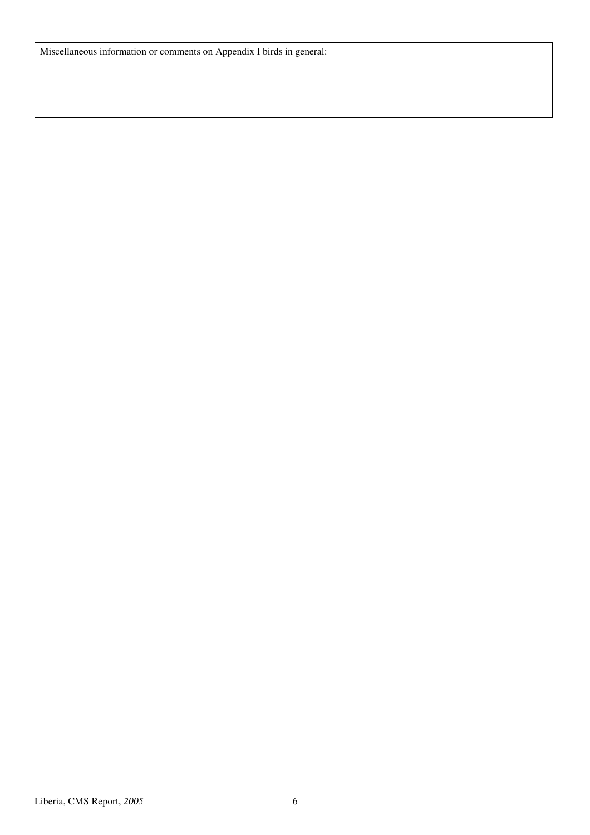Miscellaneous information or comments on Appendix I birds in general: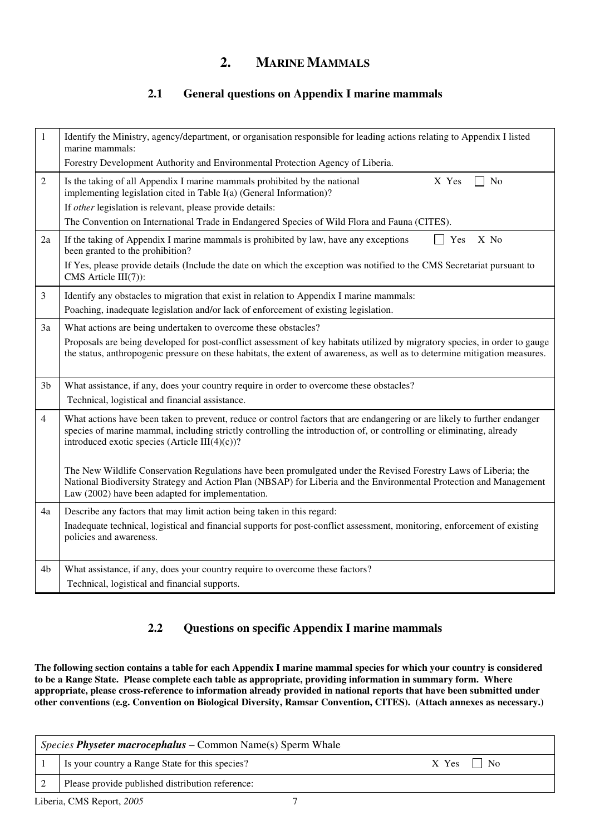## **2. MARINE MAMMALS**

### **2.1 General questions on Appendix I marine mammals**

| $\mathbf{1}$   | Identify the Ministry, agency/department, or organisation responsible for leading actions relating to Appendix I listed<br>marine mammals:<br>Forestry Development Authority and Environmental Protection Agency of Liberia.                                                                                                 |
|----------------|------------------------------------------------------------------------------------------------------------------------------------------------------------------------------------------------------------------------------------------------------------------------------------------------------------------------------|
| $\overline{2}$ | Is the taking of all Appendix I marine mammals prohibited by the national<br>X Yes<br>No<br>implementing legislation cited in Table I(a) (General Information)?<br>If other legislation is relevant, please provide details:<br>The Convention on International Trade in Endangered Species of Wild Flora and Fauna (CITES). |
| 2a             | If the taking of Appendix I marine mammals is prohibited by law, have any exceptions<br>X No<br>$\Box$ Yes<br>been granted to the prohibition?<br>If Yes, please provide details (Include the date on which the exception was notified to the CMS Secretariat pursuant to<br>$CMS$ Article $III(7)$ :                        |
| $\mathfrak{Z}$ | Identify any obstacles to migration that exist in relation to Appendix I marine mammals:<br>Poaching, inadequate legislation and/or lack of enforcement of existing legislation.                                                                                                                                             |
| 3a             | What actions are being undertaken to overcome these obstacles?<br>Proposals are being developed for post-conflict assessment of key habitats utilized by migratory species, in order to gauge<br>the status, anthropogenic pressure on these habitats, the extent of awareness, as well as to determine mitigation measures. |
| 3 <sub>b</sub> | What assistance, if any, does your country require in order to overcome these obstacles?<br>Technical, logistical and financial assistance.                                                                                                                                                                                  |
| $\overline{4}$ | What actions have been taken to prevent, reduce or control factors that are endangering or are likely to further endanger<br>species of marine mammal, including strictly controlling the introduction of, or controlling or eliminating, already<br>introduced exotic species (Article III $(4)(c)$ )?                      |
|                | The New Wildlife Conservation Regulations have been promulgated under the Revised Forestry Laws of Liberia; the<br>National Biodiversity Strategy and Action Plan (NBSAP) for Liberia and the Environmental Protection and Management<br>Law (2002) have been adapted for implementation.                                    |
| 4a             | Describe any factors that may limit action being taken in this regard:<br>Inadequate technical, logistical and financial supports for post-conflict assessment, monitoring, enforcement of existing<br>policies and awareness.                                                                                               |
| 4b             | What assistance, if any, does your country require to overcome these factors?<br>Technical, logistical and financial supports.                                                                                                                                                                                               |

### **2.2 Questions on specific Appendix I marine mammals**

**The following section contains a table for each Appendix I marine mammal species for which your country is considered to be a Range State. Please complete each table as appropriate, providing information in summary form. Where appropriate, please cross-reference to information already provided in national reports that have been submitted under other conventions (e.g. Convention on Biological Diversity, Ramsar Convention, CITES). (Attach annexes as necessary.)** 

| Species Physeter macrocephalus - Common Name(s) Sperm Whale |                                                   |                   |
|-------------------------------------------------------------|---------------------------------------------------|-------------------|
|                                                             | I Is your country a Range State for this species? | $X$ Yes $\Box$ No |
|                                                             | Please provide published distribution reference:  |                   |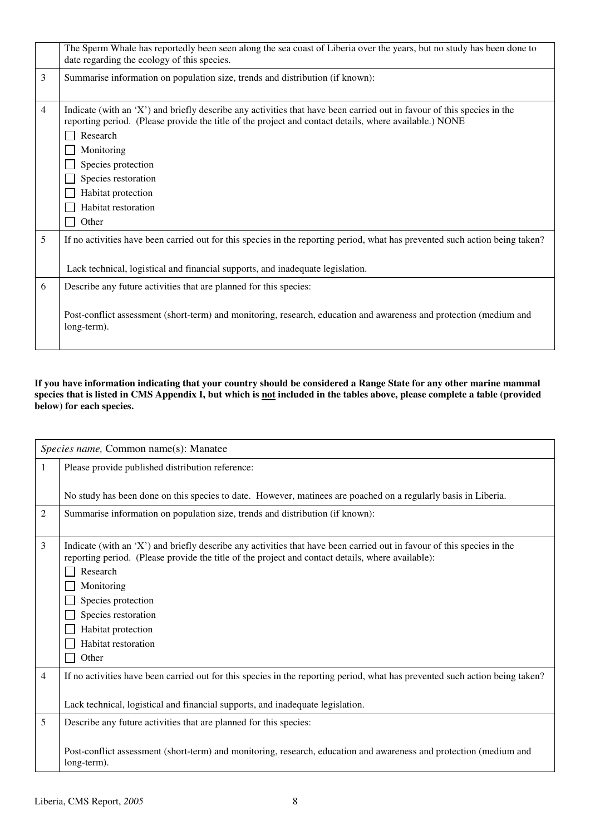|                | The Sperm Whale has reportedly been seen along the sea coast of Liberia over the years, but no study has been done to<br>date regarding the ecology of this species.                                                                                                                                                                                          |
|----------------|---------------------------------------------------------------------------------------------------------------------------------------------------------------------------------------------------------------------------------------------------------------------------------------------------------------------------------------------------------------|
| 3              | Summarise information on population size, trends and distribution (if known):                                                                                                                                                                                                                                                                                 |
| $\overline{4}$ | Indicate (with an 'X') and briefly describe any activities that have been carried out in favour of this species in the<br>reporting period. (Please provide the title of the project and contact details, where available.) NONE<br>Research<br>Monitoring<br>Species protection<br>Species restoration<br>Habitat protection<br>Habitat restoration<br>Other |
| 5              | If no activities have been carried out for this species in the reporting period, what has prevented such action being taken?<br>Lack technical, logistical and financial supports, and inadequate legislation.                                                                                                                                                |
| 6              | Describe any future activities that are planned for this species:<br>Post-conflict assessment (short-term) and monitoring, research, education and awareness and protection (medium and<br>long-term).                                                                                                                                                        |

#### **If you have information indicating that your country should be considered a Range State for any other marine mammal**  species that is listed in CMS Appendix I, but which is <u>not</u> included in the tables above, please complete a table (provided **below) for each species.**

|                | Species name, Common name(s): Manatee                                                                                        |
|----------------|------------------------------------------------------------------------------------------------------------------------------|
| 1              | Please provide published distribution reference:                                                                             |
|                |                                                                                                                              |
|                | No study has been done on this species to date. However, matinees are poached on a regularly basis in Liberia.               |
| $\overline{2}$ | Summarise information on population size, trends and distribution (if known):                                                |
|                |                                                                                                                              |
| 3              | Indicate (with an 'X') and briefly describe any activities that have been carried out in favour of this species in the       |
|                | reporting period. (Please provide the title of the project and contact details, where available):<br>Research                |
|                |                                                                                                                              |
|                | Monitoring                                                                                                                   |
|                | Species protection                                                                                                           |
|                | Species restoration                                                                                                          |
|                | Habitat protection<br>Habitat restoration                                                                                    |
|                | Other                                                                                                                        |
|                |                                                                                                                              |
| 4              | If no activities have been carried out for this species in the reporting period, what has prevented such action being taken? |
|                |                                                                                                                              |
|                | Lack technical, logistical and financial supports, and inadequate legislation.                                               |
| 5              | Describe any future activities that are planned for this species:                                                            |
|                |                                                                                                                              |
|                | Post-conflict assessment (short-term) and monitoring, research, education and awareness and protection (medium and           |
|                | long-term).                                                                                                                  |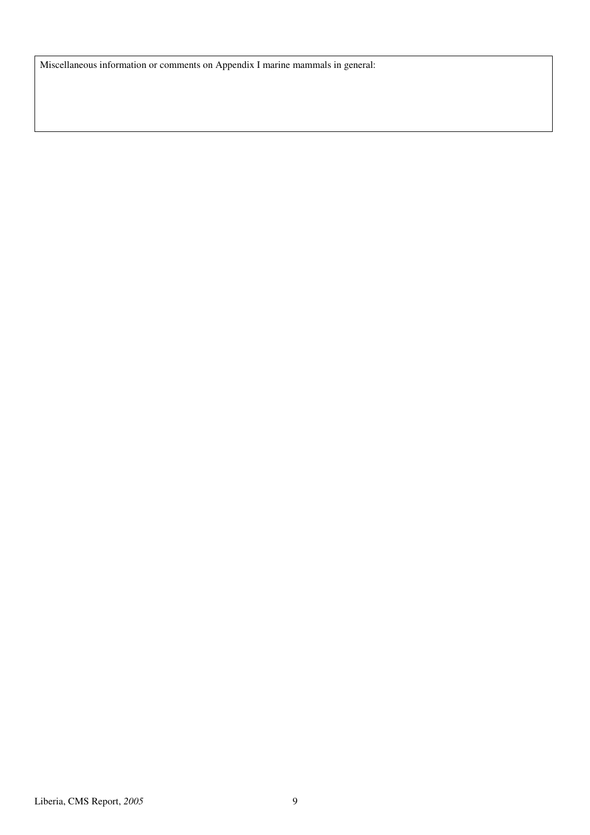Miscellaneous information or comments on Appendix I marine mammals in general: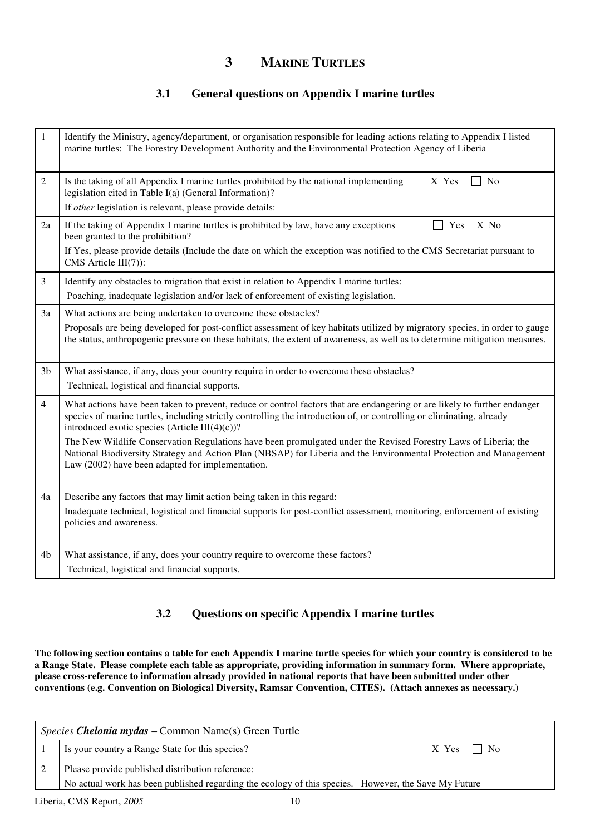## **3 MARINE TURTLES**

### **3.1 General questions on Appendix I marine turtles**

| 1              | Identify the Ministry, agency/department, or organisation responsible for leading actions relating to Appendix I listed<br>marine turtles: The Forestry Development Authority and the Environmental Protection Agency of Liberia                                                                     |
|----------------|------------------------------------------------------------------------------------------------------------------------------------------------------------------------------------------------------------------------------------------------------------------------------------------------------|
| $\mathfrak{2}$ | Is the taking of all Appendix I marine turtles prohibited by the national implementing<br>X Yes<br>N <sub>0</sub><br>legislation cited in Table I(a) (General Information)?                                                                                                                          |
|                | If other legislation is relevant, please provide details:                                                                                                                                                                                                                                            |
| 2a             | If the taking of Appendix I marine turtles is prohibited by law, have any exceptions<br>Yes<br>X No<br>been granted to the prohibition?                                                                                                                                                              |
|                | If Yes, please provide details (Include the date on which the exception was notified to the CMS Secretariat pursuant to<br>CMS Article III(7)):                                                                                                                                                      |
| 3              | Identify any obstacles to migration that exist in relation to Appendix I marine turtles:                                                                                                                                                                                                             |
|                | Poaching, inadequate legislation and/or lack of enforcement of existing legislation.                                                                                                                                                                                                                 |
| 3a             | What actions are being undertaken to overcome these obstacles?                                                                                                                                                                                                                                       |
|                | Proposals are being developed for post-conflict assessment of key habitats utilized by migratory species, in order to gauge<br>the status, anthropogenic pressure on these habitats, the extent of awareness, as well as to determine mitigation measures.                                           |
| 3 <sub>b</sub> | What assistance, if any, does your country require in order to overcome these obstacles?                                                                                                                                                                                                             |
|                | Technical, logistical and financial supports.                                                                                                                                                                                                                                                        |
| $\overline{4}$ | What actions have been taken to prevent, reduce or control factors that are endangering or are likely to further endanger<br>species of marine turtles, including strictly controlling the introduction of, or controlling or eliminating, already<br>introduced exotic species (Article III(4)(c))? |
|                | The New Wildlife Conservation Regulations have been promulgated under the Revised Forestry Laws of Liberia; the<br>National Biodiversity Strategy and Action Plan (NBSAP) for Liberia and the Environmental Protection and Management<br>Law (2002) have been adapted for implementation.            |
| 4a             | Describe any factors that may limit action being taken in this regard:                                                                                                                                                                                                                               |
|                | Inadequate technical, logistical and financial supports for post-conflict assessment, monitoring, enforcement of existing<br>policies and awareness.                                                                                                                                                 |
| 4b             | What assistance, if any, does your country require to overcome these factors?                                                                                                                                                                                                                        |
|                | Technical, logistical and financial supports.                                                                                                                                                                                                                                                        |

### **3.2 Questions on specific Appendix I marine turtles**

**The following section contains a table for each Appendix I marine turtle species for which your country is considered to be a Range State. Please complete each table as appropriate, providing information in summary form. Where appropriate, please cross-reference to information already provided in national reports that have been submitted under other conventions (e.g. Convention on Biological Diversity, Ramsar Convention, CITES). (Attach annexes as necessary.)** 

| <i>Species Chelonia mydas</i> – Common Name(s) Green Turtle |                                                                                                      |                   |
|-------------------------------------------------------------|------------------------------------------------------------------------------------------------------|-------------------|
|                                                             | Is your country a Range State for this species?                                                      | $X$ Yes $\Box$ No |
|                                                             | Please provide published distribution reference:                                                     |                   |
|                                                             | No actual work has been published regarding the ecology of this species. However, the Save My Future |                   |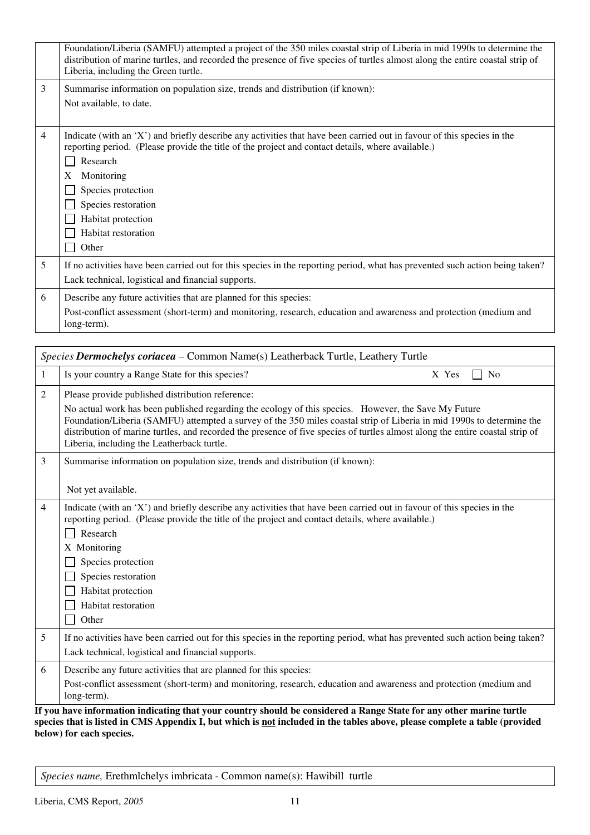|                | Foundation/Liberia (SAMFU) attempted a project of the 350 miles coastal strip of Liberia in mid 1990s to determine the<br>distribution of marine turtles, and recorded the presence of five species of turtles almost along the entire coastal strip of<br>Liberia, including the Green turtle.                                                               |
|----------------|---------------------------------------------------------------------------------------------------------------------------------------------------------------------------------------------------------------------------------------------------------------------------------------------------------------------------------------------------------------|
| 3              | Summarise information on population size, trends and distribution (if known):<br>Not available, to date.                                                                                                                                                                                                                                                      |
| $\overline{4}$ | Indicate (with an 'X') and briefly describe any activities that have been carried out in favour of this species in the<br>reporting period. (Please provide the title of the project and contact details, where available.)<br>Research<br>X<br>Monitoring<br>Species protection<br>Species restoration<br>Habitat protection<br>Habitat restoration<br>Other |
| 5              | If no activities have been carried out for this species in the reporting period, what has prevented such action being taken?<br>Lack technical, logistical and financial supports.                                                                                                                                                                            |
| 6              | Describe any future activities that are planned for this species:<br>Post-conflict assessment (short-term) and monitoring, research, education and awareness and protection (medium and<br>long-term).                                                                                                                                                        |

| Species Dermochelys coriacea - Common Name(s) Leatherback Turtle, Leathery Turtle |                                                                                                                                                                                                                                                                                                                                                                                                                                                                  |  |
|-----------------------------------------------------------------------------------|------------------------------------------------------------------------------------------------------------------------------------------------------------------------------------------------------------------------------------------------------------------------------------------------------------------------------------------------------------------------------------------------------------------------------------------------------------------|--|
| 1                                                                                 | Is your country a Range State for this species?<br>X Yes<br>N <sub>0</sub>                                                                                                                                                                                                                                                                                                                                                                                       |  |
| 2                                                                                 | Please provide published distribution reference:<br>No actual work has been published regarding the ecology of this species. However, the Save My Future<br>Foundation/Liberia (SAMFU) attempted a survey of the 350 miles coastal strip of Liberia in mid 1990s to determine the<br>distribution of marine turtles, and recorded the presence of five species of turtles almost along the entire coastal strip of<br>Liberia, including the Leatherback turtle. |  |
| 3                                                                                 | Summarise information on population size, trends and distribution (if known):<br>Not yet available.                                                                                                                                                                                                                                                                                                                                                              |  |
| $\overline{4}$                                                                    | Indicate (with an 'X') and briefly describe any activities that have been carried out in favour of this species in the<br>reporting period. (Please provide the title of the project and contact details, where available.)<br>Research<br>X Monitoring<br>Species protection<br>Species restoration<br>Habitat protection<br>Habitat restoration<br>Other                                                                                                       |  |
| 5                                                                                 | If no activities have been carried out for this species in the reporting period, what has prevented such action being taken?<br>Lack technical, logistical and financial supports.                                                                                                                                                                                                                                                                               |  |
| 6                                                                                 | Describe any future activities that are planned for this species:<br>Post-conflict assessment (short-term) and monitoring, research, education and awareness and protection (medium and<br>long-term).                                                                                                                                                                                                                                                           |  |
|                                                                                   | If you have information indicating that your country should be considered a Range State for any other marine turtle<br>species that is listed in CMS Appendix I, but which is not included in the tables above, please complete a table (provided                                                                                                                                                                                                                |  |

**below) for each species.** 

*Species name,* Erethmlchelys imbricata - Common name(s): Hawibill turtle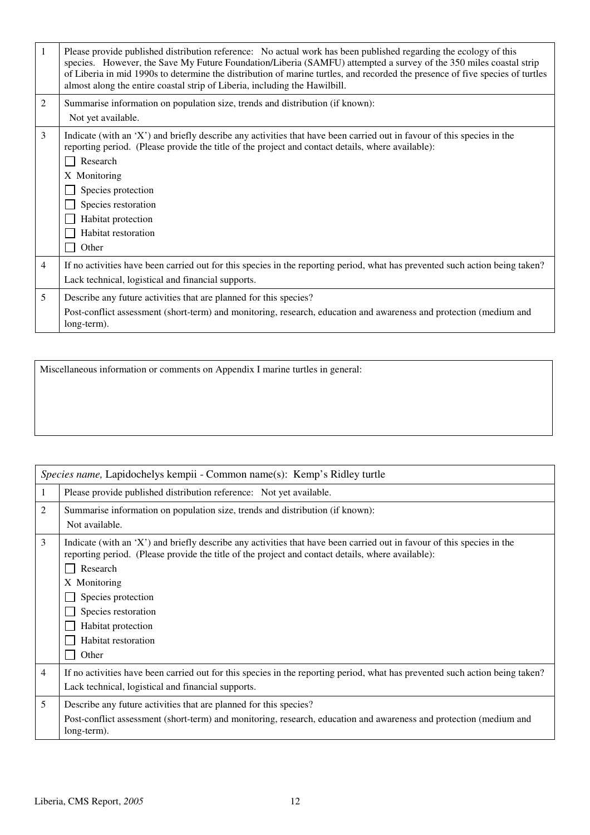| 1              | Please provide published distribution reference: No actual work has been published regarding the ecology of this<br>species. However, the Save My Future Foundation/Liberia (SAMFU) attempted a survey of the 350 miles coastal strip<br>of Liberia in mid 1990s to determine the distribution of marine turtles, and recorded the presence of five species of turtles<br>almost along the entire coastal strip of Liberia, including the Hawilbill. |
|----------------|------------------------------------------------------------------------------------------------------------------------------------------------------------------------------------------------------------------------------------------------------------------------------------------------------------------------------------------------------------------------------------------------------------------------------------------------------|
| $\overline{c}$ | Summarise information on population size, trends and distribution (if known):<br>Not yet available.                                                                                                                                                                                                                                                                                                                                                  |
| 3              | Indicate (with an 'X') and briefly describe any activities that have been carried out in favour of this species in the<br>reporting period. (Please provide the title of the project and contact details, where available):<br>Research<br>X Monitoring<br>Species protection<br>Species restoration<br>Habitat protection<br>Habitat restoration<br>Other                                                                                           |
| 4              | If no activities have been carried out for this species in the reporting period, what has prevented such action being taken?<br>Lack technical, logistical and financial supports.                                                                                                                                                                                                                                                                   |
| 5              | Describe any future activities that are planned for this species?<br>Post-conflict assessment (short-term) and monitoring, research, education and awareness and protection (medium and<br>long-term).                                                                                                                                                                                                                                               |

| Miscellaneous information or comments on Appendix I marine turtles in general: |  |
|--------------------------------------------------------------------------------|--|
|--------------------------------------------------------------------------------|--|

|                | Species name, Lapidochelys kempii - Common name(s): Kemp's Ridley turtle                                                                                                                                                                                                                                                                                   |  |  |
|----------------|------------------------------------------------------------------------------------------------------------------------------------------------------------------------------------------------------------------------------------------------------------------------------------------------------------------------------------------------------------|--|--|
| 1              | Please provide published distribution reference: Not yet available.                                                                                                                                                                                                                                                                                        |  |  |
| 2              | Summarise information on population size, trends and distribution (if known):<br>Not available.                                                                                                                                                                                                                                                            |  |  |
| 3              | Indicate (with an 'X') and briefly describe any activities that have been carried out in favour of this species in the<br>reporting period. (Please provide the title of the project and contact details, where available):<br>Research<br>X Monitoring<br>Species protection<br>Species restoration<br>Habitat protection<br>Habitat restoration<br>Other |  |  |
| $\overline{4}$ | If no activities have been carried out for this species in the reporting period, what has prevented such action being taken?<br>Lack technical, logistical and financial supports.                                                                                                                                                                         |  |  |
| 5              | Describe any future activities that are planned for this species?<br>Post-conflict assessment (short-term) and monitoring, research, education and awareness and protection (medium and<br>long-term).                                                                                                                                                     |  |  |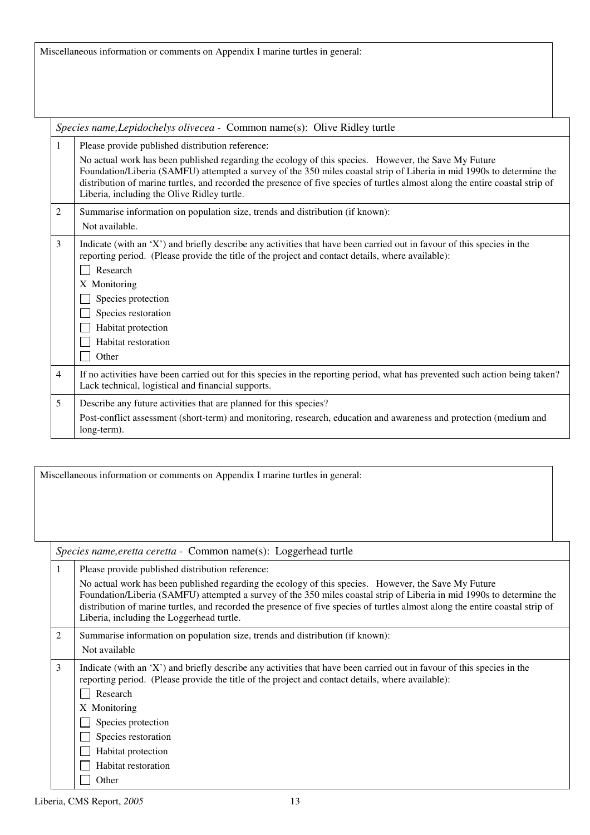Miscellaneous information or comments on Appendix I marine turtles in general:

|                | Species name, Lepidochelys olivecea - Common name(s): Olive Ridley turtle                                                                                                                                                                                                                                                                                                                                                                                         |  |
|----------------|-------------------------------------------------------------------------------------------------------------------------------------------------------------------------------------------------------------------------------------------------------------------------------------------------------------------------------------------------------------------------------------------------------------------------------------------------------------------|--|
| 1              | Please provide published distribution reference:<br>No actual work has been published regarding the ecology of this species. However, the Save My Future<br>Foundation/Liberia (SAMFU) attempted a survey of the 350 miles coastal strip of Liberia in mid 1990s to determine the<br>distribution of marine turtles, and recorded the presence of five species of turtles almost along the entire coastal strip of<br>Liberia, including the Olive Ridley turtle. |  |
| 2              | Summarise information on population size, trends and distribution (if known):<br>Not available.                                                                                                                                                                                                                                                                                                                                                                   |  |
| $\mathfrak{Z}$ | Indicate (with an 'X') and briefly describe any activities that have been carried out in favour of this species in the<br>reporting period. (Please provide the title of the project and contact details, where available):<br>Research<br>X Monitoring<br>Species protection<br>Species restoration<br>Habitat protection<br>Habitat restoration<br>Other                                                                                                        |  |
| $\overline{4}$ | If no activities have been carried out for this species in the reporting period, what has prevented such action being taken?<br>Lack technical, logistical and financial supports.                                                                                                                                                                                                                                                                                |  |
| 5              | Describe any future activities that are planned for this species?<br>Post-conflict assessment (short-term) and monitoring, research, education and awareness and protection (medium and<br>long-term).                                                                                                                                                                                                                                                            |  |

Miscellaneous information or comments on Appendix I marine turtles in general:

*Species name,eretta ceretta -* Common name(s): Loggerhead turtle

| 1 | Please provide published distribution reference:                                                                                                                                                                                                                                                                                                                                                            |
|---|-------------------------------------------------------------------------------------------------------------------------------------------------------------------------------------------------------------------------------------------------------------------------------------------------------------------------------------------------------------------------------------------------------------|
|   | No actual work has been published regarding the ecology of this species. However, the Save My Future<br>Foundation/Liberia (SAMFU) attempted a survey of the 350 miles coastal strip of Liberia in mid 1990s to determine the<br>distribution of marine turtles, and recorded the presence of five species of turtles almost along the entire coastal strip of<br>Liberia, including the Loggerhead turtle. |
| 2 | Summarise information on population size, trends and distribution (if known):                                                                                                                                                                                                                                                                                                                               |
|   | Not available                                                                                                                                                                                                                                                                                                                                                                                               |
| 3 | Indicate (with an 'X') and briefly describe any activities that have been carried out in favour of this species in the<br>reporting period. (Please provide the title of the project and contact details, where available):<br>Research<br>X Monitoring<br>Species protection<br>Species restoration<br>Habitat protection<br>Habitat restoration                                                           |
|   | Other                                                                                                                                                                                                                                                                                                                                                                                                       |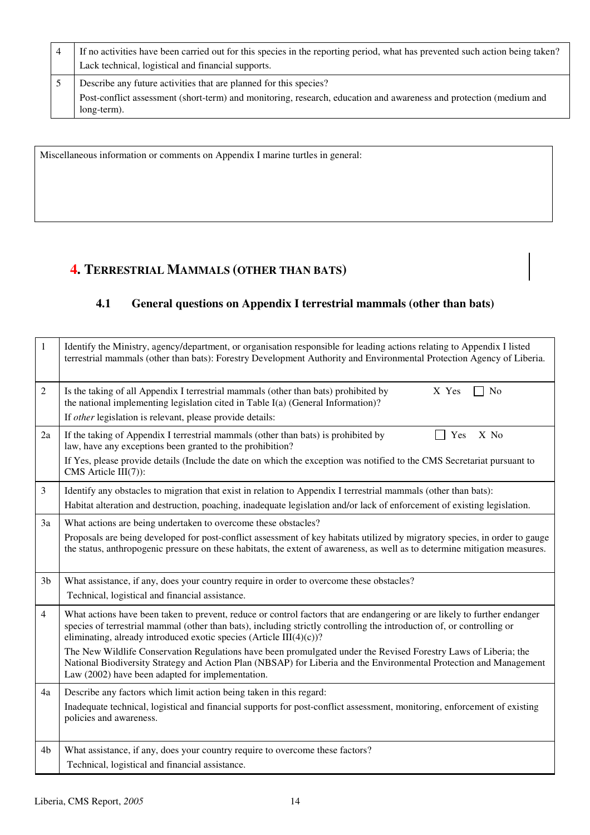| 4 | If no activities have been carried out for this species in the reporting period, what has prevented such action being taken?<br>Lack technical, logistical and financial supports. |
|---|------------------------------------------------------------------------------------------------------------------------------------------------------------------------------------|
|   | Describe any future activities that are planned for this species?                                                                                                                  |
|   | Post-conflict assessment (short-term) and monitoring, research, education and awareness and protection (medium and<br>long-term).                                                  |

Miscellaneous information or comments on Appendix I marine turtles in general:

## **4. TERRESTRIAL MAMMALS (OTHER THAN BATS)**

## **4.1 General questions on Appendix I terrestrial mammals (other than bats)**

| $\mathbf{1}$   | Identify the Ministry, agency/department, or organisation responsible for leading actions relating to Appendix I listed<br>terrestrial mammals (other than bats): Forestry Development Authority and Environmental Protection Agency of Liberia.                                                                           |
|----------------|----------------------------------------------------------------------------------------------------------------------------------------------------------------------------------------------------------------------------------------------------------------------------------------------------------------------------|
| $\overline{2}$ | Is the taking of all Appendix I terrestrial mammals (other than bats) prohibited by<br>X Yes<br>No<br>the national implementing legislation cited in Table I(a) (General Information)?<br>If other legislation is relevant, please provide details:                                                                        |
|                |                                                                                                                                                                                                                                                                                                                            |
| 2a             | X No<br>If the taking of Appendix I terrestrial mammals (other than bats) is prohibited by<br>Yes<br>law, have any exceptions been granted to the prohibition?                                                                                                                                                             |
|                | If Yes, please provide details (Include the date on which the exception was notified to the CMS Secretariat pursuant to<br>CMS Article III(7)):                                                                                                                                                                            |
| $\mathfrak{Z}$ | Identify any obstacles to migration that exist in relation to Appendix I terrestrial mammals (other than bats):                                                                                                                                                                                                            |
|                | Habitat alteration and destruction, poaching, inadequate legislation and/or lack of enforcement of existing legislation.                                                                                                                                                                                                   |
| 3a             | What actions are being undertaken to overcome these obstacles?                                                                                                                                                                                                                                                             |
|                | Proposals are being developed for post-conflict assessment of key habitats utilized by migratory species, in order to gauge<br>the status, anthropogenic pressure on these habitats, the extent of awareness, as well as to determine mitigation measures.                                                                 |
| 3 <sub>b</sub> | What assistance, if any, does your country require in order to overcome these obstacles?                                                                                                                                                                                                                                   |
|                | Technical, logistical and financial assistance.                                                                                                                                                                                                                                                                            |
| $\overline{4}$ | What actions have been taken to prevent, reduce or control factors that are endangering or are likely to further endanger<br>species of terrestrial mammal (other than bats), including strictly controlling the introduction of, or controlling or<br>eliminating, already introduced exotic species (Article III(4)(c))? |
|                | The New Wildlife Conservation Regulations have been promulgated under the Revised Forestry Laws of Liberia; the<br>National Biodiversity Strategy and Action Plan (NBSAP) for Liberia and the Environmental Protection and Management<br>Law (2002) have been adapted for implementation.                                  |
| 4a             | Describe any factors which limit action being taken in this regard:                                                                                                                                                                                                                                                        |
|                | Inadequate technical, logistical and financial supports for post-conflict assessment, monitoring, enforcement of existing<br>policies and awareness.                                                                                                                                                                       |
| 4b             | What assistance, if any, does your country require to overcome these factors?                                                                                                                                                                                                                                              |
|                | Technical, logistical and financial assistance.                                                                                                                                                                                                                                                                            |
|                |                                                                                                                                                                                                                                                                                                                            |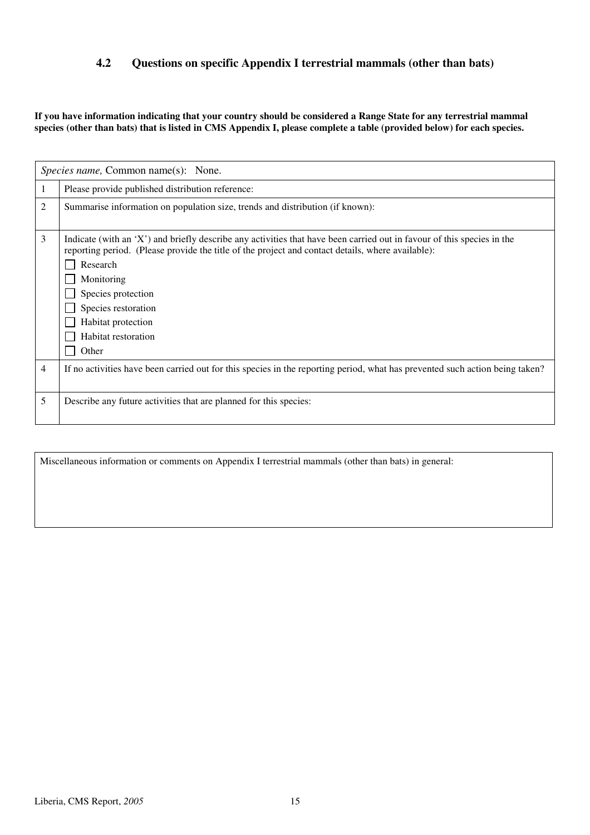### **4.2 Questions on specific Appendix I terrestrial mammals (other than bats)**

**If you have information indicating that your country should be considered a Range State for any terrestrial mammal**  species (other than bats) that is listed in CMS Appendix I, please complete a table (provided below) for each species.

|   | Species name, Common name(s): None.                                                                                                                                                                                                                                                                                                                      |
|---|----------------------------------------------------------------------------------------------------------------------------------------------------------------------------------------------------------------------------------------------------------------------------------------------------------------------------------------------------------|
| 1 | Please provide published distribution reference:                                                                                                                                                                                                                                                                                                         |
| 2 | Summarise information on population size, trends and distribution (if known):                                                                                                                                                                                                                                                                            |
| 3 | Indicate (with an 'X') and briefly describe any activities that have been carried out in favour of this species in the<br>reporting period. (Please provide the title of the project and contact details, where available):<br>Research<br>Monitoring<br>Species protection<br>Species restoration<br>Habitat protection<br>Habitat restoration<br>Other |
| 4 | If no activities have been carried out for this species in the reporting period, what has prevented such action being taken?                                                                                                                                                                                                                             |
| 5 | Describe any future activities that are planned for this species:                                                                                                                                                                                                                                                                                        |

Miscellaneous information or comments on Appendix I terrestrial mammals (other than bats) in general: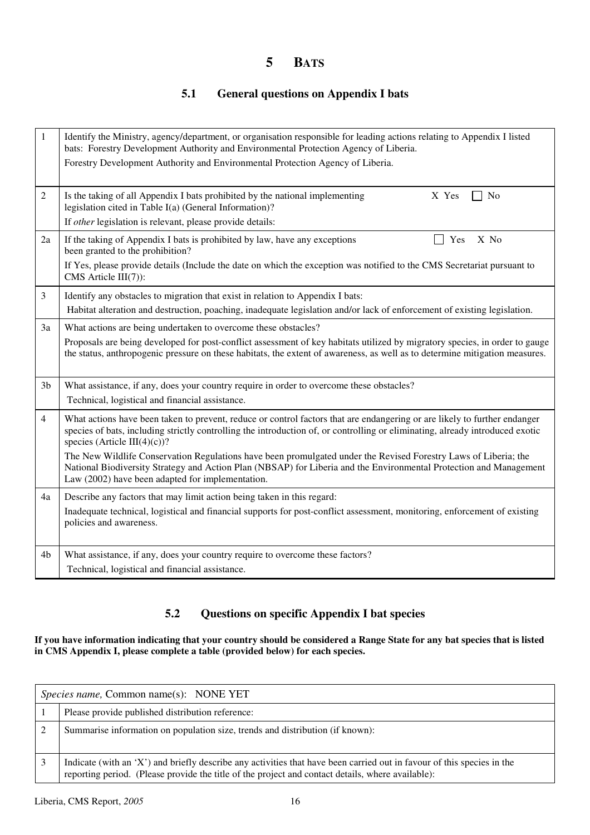## **5 BATS**

### **5.1 General questions on Appendix I bats**

| $\mathbf{1}$   | Identify the Ministry, agency/department, or organisation responsible for leading actions relating to Appendix I listed<br>bats: Forestry Development Authority and Environmental Protection Agency of Liberia.<br>Forestry Development Authority and Environmental Protection Agency of Liberia.                                                                                                                                                                                                                                                                                       |
|----------------|-----------------------------------------------------------------------------------------------------------------------------------------------------------------------------------------------------------------------------------------------------------------------------------------------------------------------------------------------------------------------------------------------------------------------------------------------------------------------------------------------------------------------------------------------------------------------------------------|
| 2              | Is the taking of all Appendix I bats prohibited by the national implementing<br>X Yes<br>N <sub>o</sub><br>$\Box$<br>legislation cited in Table I(a) (General Information)?<br>If other legislation is relevant, please provide details:                                                                                                                                                                                                                                                                                                                                                |
| 2a             | If the taking of Appendix I bats is prohibited by law, have any exceptions<br>X No<br>Yes<br>been granted to the prohibition?<br>If Yes, please provide details (Include the date on which the exception was notified to the CMS Secretariat pursuant to<br>CMS Article $III(7)$ :                                                                                                                                                                                                                                                                                                      |
| 3              | Identify any obstacles to migration that exist in relation to Appendix I bats:<br>Habitat alteration and destruction, poaching, inadequate legislation and/or lack of enforcement of existing legislation.                                                                                                                                                                                                                                                                                                                                                                              |
| 3a             | What actions are being undertaken to overcome these obstacles?<br>Proposals are being developed for post-conflict assessment of key habitats utilized by migratory species, in order to gauge<br>the status, anthropogenic pressure on these habitats, the extent of awareness, as well as to determine mitigation measures.                                                                                                                                                                                                                                                            |
| 3 <sub>b</sub> | What assistance, if any, does your country require in order to overcome these obstacles?<br>Technical, logistical and financial assistance.                                                                                                                                                                                                                                                                                                                                                                                                                                             |
| 4              | What actions have been taken to prevent, reduce or control factors that are endangering or are likely to further endanger<br>species of bats, including strictly controlling the introduction of, or controlling or eliminating, already introduced exotic<br>species (Article III(4)(c))?<br>The New Wildlife Conservation Regulations have been promulgated under the Revised Forestry Laws of Liberia; the<br>National Biodiversity Strategy and Action Plan (NBSAP) for Liberia and the Environmental Protection and Management<br>Law (2002) have been adapted for implementation. |
| 4a             | Describe any factors that may limit action being taken in this regard:<br>Inadequate technical, logistical and financial supports for post-conflict assessment, monitoring, enforcement of existing<br>policies and awareness.                                                                                                                                                                                                                                                                                                                                                          |
| 4 <sub>b</sub> | What assistance, if any, does your country require to overcome these factors?<br>Technical, logistical and financial assistance.                                                                                                                                                                                                                                                                                                                                                                                                                                                        |

### **5.2 Questions on specific Appendix I bat species**

#### **If you have information indicating that your country should be considered a Range State for any bat species that is listed in CMS Appendix I, please complete a table (provided below) for each species.**

| <i>Species name,</i> Common name(s): NONE YET                                                                                                                                                                               |  |  |
|-----------------------------------------------------------------------------------------------------------------------------------------------------------------------------------------------------------------------------|--|--|
| Please provide published distribution reference:                                                                                                                                                                            |  |  |
| Summarise information on population size, trends and distribution (if known):                                                                                                                                               |  |  |
| Indicate (with an 'X') and briefly describe any activities that have been carried out in favour of this species in the<br>reporting period. (Please provide the title of the project and contact details, where available): |  |  |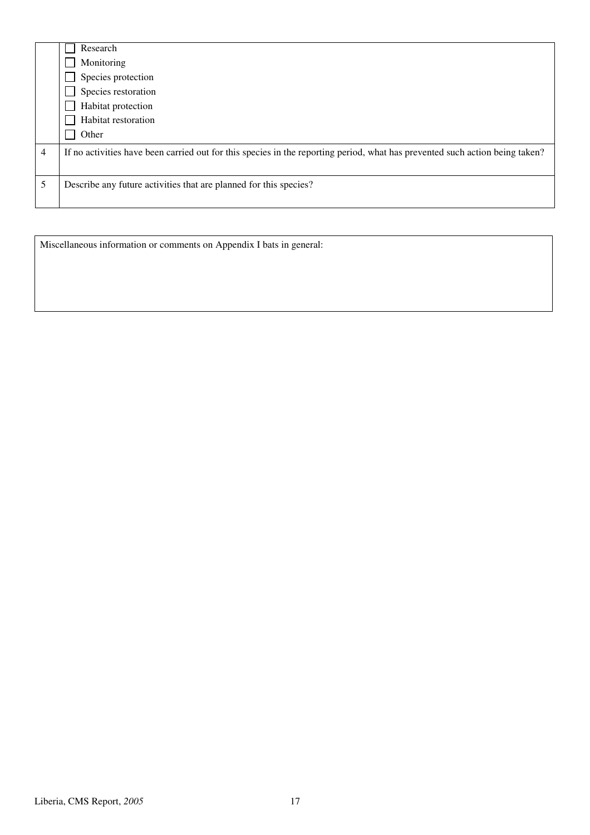|   | Research<br>Monitoring<br>Species protection<br>Species restoration<br>Habitat protection<br>Habitat restoration<br>Other    |
|---|------------------------------------------------------------------------------------------------------------------------------|
| 4 | If no activities have been carried out for this species in the reporting period, what has prevented such action being taken? |
| 5 | Describe any future activities that are planned for this species?                                                            |

Miscellaneous information or comments on Appendix I bats in general: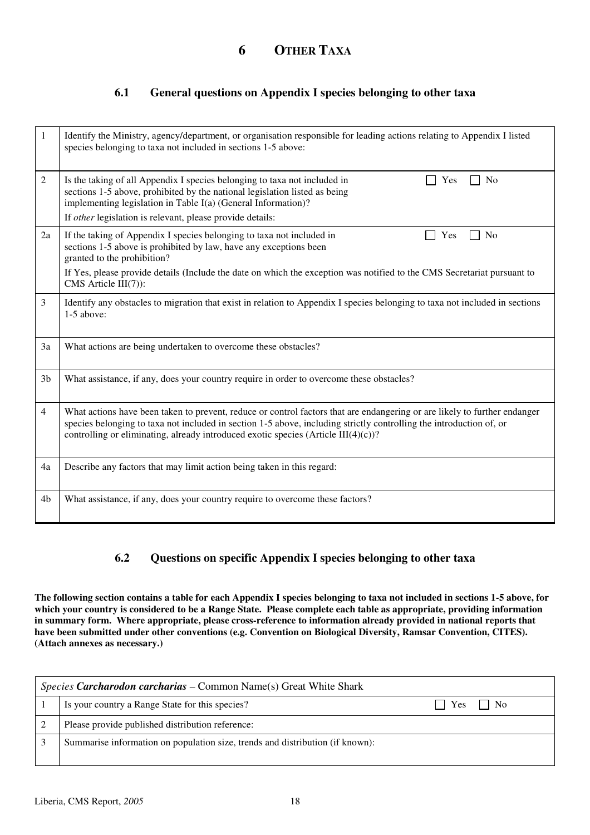#### **6.1 General questions on Appendix I species belonging to other taxa**

| 1              | Identify the Ministry, agency/department, or organisation responsible for leading actions relating to Appendix I listed<br>species belonging to taxa not included in sections 1-5 above:                                                                                                                                                  |
|----------------|-------------------------------------------------------------------------------------------------------------------------------------------------------------------------------------------------------------------------------------------------------------------------------------------------------------------------------------------|
| $\overline{2}$ | Is the taking of all Appendix I species belonging to taxa not included in<br>N <sub>o</sub><br>Yes<br>sections 1-5 above, prohibited by the national legislation listed as being<br>implementing legislation in Table I(a) (General Information)?                                                                                         |
|                | If other legislation is relevant, please provide details:                                                                                                                                                                                                                                                                                 |
| 2a             | If the taking of Appendix I species belonging to taxa not included in<br>N <sub>0</sub><br>Yes<br>sections 1-5 above is prohibited by law, have any exceptions been<br>granted to the prohibition?                                                                                                                                        |
|                | If Yes, please provide details (Include the date on which the exception was notified to the CMS Secretariat pursuant to<br>$CMS$ Article $III(7)$ :                                                                                                                                                                                       |
| $\mathfrak{Z}$ | Identify any obstacles to migration that exist in relation to Appendix I species belonging to taxa not included in sections<br>$1-5$ above:                                                                                                                                                                                               |
| 3a             | What actions are being undertaken to overcome these obstacles?                                                                                                                                                                                                                                                                            |
| 3 <sub>b</sub> | What assistance, if any, does your country require in order to overcome these obstacles?                                                                                                                                                                                                                                                  |
| $\overline{4}$ | What actions have been taken to prevent, reduce or control factors that are endangering or are likely to further endanger<br>species belonging to taxa not included in section 1-5 above, including strictly controlling the introduction of, or<br>controlling or eliminating, already introduced exotic species (Article $III(4)(c)$ )? |
| 4a             | Describe any factors that may limit action being taken in this regard:                                                                                                                                                                                                                                                                    |
| 4b             | What assistance, if any, does your country require to overcome these factors?                                                                                                                                                                                                                                                             |

### **6.2 Questions on specific Appendix I species belonging to other taxa**

**The following section contains a table for each Appendix I species belonging to taxa not included in sections 1-5 above, for which your country is considered to be a Range State. Please complete each table as appropriate, providing information in summary form. Where appropriate, please cross-reference to information already provided in national reports that have been submitted under other conventions (e.g. Convention on Biological Diversity, Ramsar Convention, CITES). (Attach annexes as necessary.)** 

| <i>Species Carcharodon carcharias – Common Name(s)</i> Great White Shark |                                                                               |                      |
|--------------------------------------------------------------------------|-------------------------------------------------------------------------------|----------------------|
|                                                                          | Is your country a Range State for this species?                               | $\vert$   Yes     No |
|                                                                          | Please provide published distribution reference:                              |                      |
|                                                                          | Summarise information on population size, trends and distribution (if known): |                      |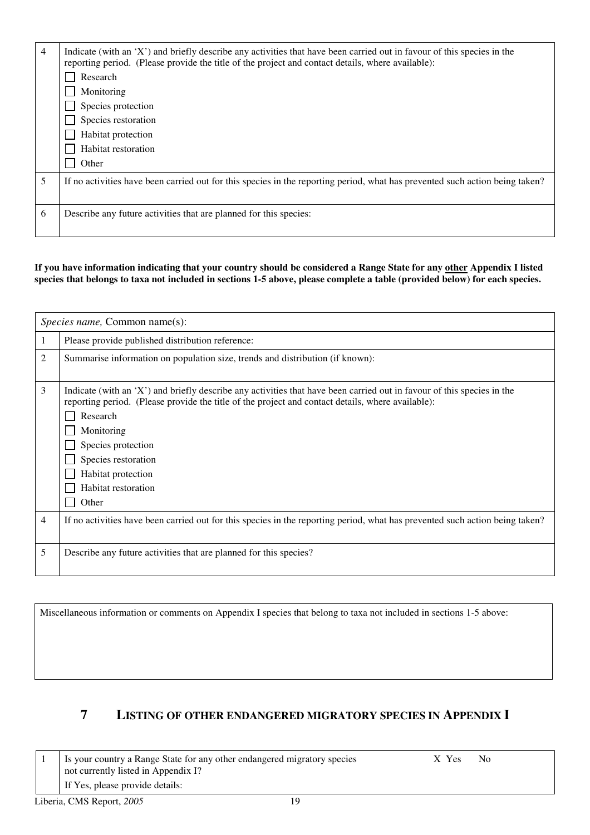| 4 | Indicate (with an 'X') and briefly describe any activities that have been carried out in favour of this species in the<br>reporting period. (Please provide the title of the project and contact details, where available): |
|---|-----------------------------------------------------------------------------------------------------------------------------------------------------------------------------------------------------------------------------|
|   | Research                                                                                                                                                                                                                    |
|   | Monitoring                                                                                                                                                                                                                  |
|   | Species protection                                                                                                                                                                                                          |
|   | Species restoration                                                                                                                                                                                                         |
|   | Habitat protection                                                                                                                                                                                                          |
|   | Habitat restoration                                                                                                                                                                                                         |
|   | Other                                                                                                                                                                                                                       |
| 5 | If no activities have been carried out for this species in the reporting period, what has prevented such action being taken?                                                                                                |
|   |                                                                                                                                                                                                                             |
| 6 | Describe any future activities that are planned for this species:                                                                                                                                                           |
|   |                                                                                                                                                                                                                             |

**If you have information indicating that your country should be considered a Range State for any other Appendix I listed**  species that belongs to taxa not included in sections 1-5 above, please complete a table (provided below) for each species.

|   | Species name, Common name(s):                                                                                                                                                                                                                                                                                                                            |
|---|----------------------------------------------------------------------------------------------------------------------------------------------------------------------------------------------------------------------------------------------------------------------------------------------------------------------------------------------------------|
|   | Please provide published distribution reference:                                                                                                                                                                                                                                                                                                         |
| 2 | Summarise information on population size, trends and distribution (if known):                                                                                                                                                                                                                                                                            |
| 3 | Indicate (with an 'X') and briefly describe any activities that have been carried out in favour of this species in the<br>reporting period. (Please provide the title of the project and contact details, where available):<br>Research<br>Monitoring<br>Species protection<br>Species restoration<br>Habitat protection<br>Habitat restoration<br>Other |
| 4 | If no activities have been carried out for this species in the reporting period, what has prevented such action being taken?                                                                                                                                                                                                                             |
| 5 | Describe any future activities that are planned for this species?                                                                                                                                                                                                                                                                                        |

Miscellaneous information or comments on Appendix I species that belong to taxa not included in sections 1-5 above:

## **7 LISTING OF OTHER ENDANGERED MIGRATORY SPECIES IN APPENDIX I**

|  | Is your country a Range State for any other endangered migratory species | X Yes | No. |
|--|--------------------------------------------------------------------------|-------|-----|
|  | not currently listed in Appendix I?                                      |       |     |
|  | If Yes, please provide details:                                          |       |     |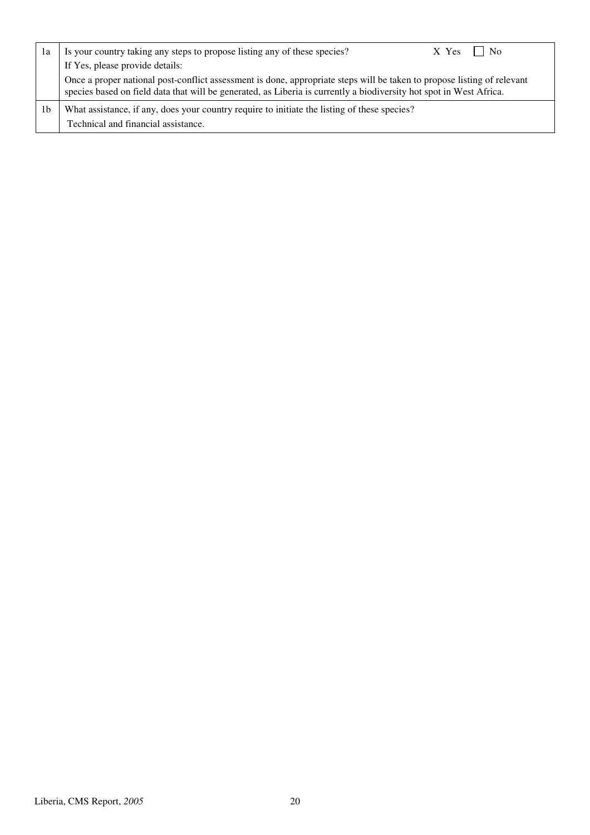| 1a | Is your country taking any steps to propose listing any of these species?                                                                                                                                                                      | $X$ Yes $\Box$ | N <sub>0</sub> |
|----|------------------------------------------------------------------------------------------------------------------------------------------------------------------------------------------------------------------------------------------------|----------------|----------------|
|    | If Yes, please provide details:                                                                                                                                                                                                                |                |                |
|    | Once a proper national post-conflict assessment is done, appropriate steps will be taken to propose listing of relevant<br>species based on field data that will be generated, as Liberia is currently a biodiversity hot spot in West Africa. |                |                |
| 1b | What assistance, if any, does your country require to initiate the listing of these species?<br>Technical and financial assistance.                                                                                                            |                |                |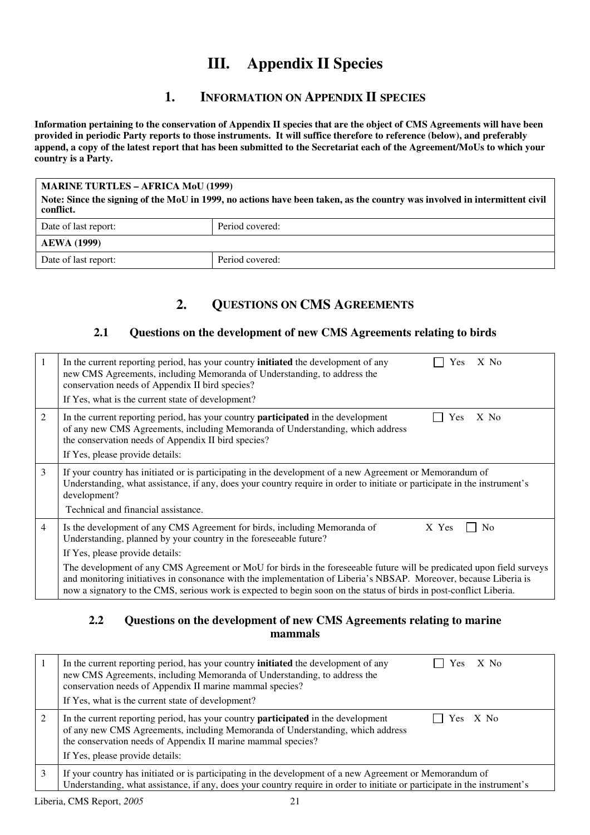# **III. Appendix II Species**

### **1. INFORMATION ON APPENDIX II SPECIES**

**Information pertaining to the conservation of Appendix II species that are the object of CMS Agreements will have been provided in periodic Party reports to those instruments. It will suffice therefore to reference (below), and preferably append, a copy of the latest report that has been submitted to the Secretariat each of the Agreement/MoUs to which your country is a Party.** 

**MARINE TURTLES – AFRICA MoU (1999) Note: Since the signing of the MoU in 1999, no actions have been taken, as the country was involved in intermittent civil conflict.** 

| Date of last report: | Period covered: |  |
|----------------------|-----------------|--|
| <b>AEWA</b> (1999)   |                 |  |
| Date of last report: | Period covered: |  |

## **2. QUESTIONS ON CMS AGREEMENTS**

#### **2.1 Questions on the development of new CMS Agreements relating to birds**

| 1              | In the current reporting period, has your country <b>initiated</b> the development of any<br>$X$ No<br>Yes<br>new CMS Agreements, including Memoranda of Understanding, to address the<br>conservation needs of Appendix II bird species?<br>If Yes, what is the current state of development?                                                                    |
|----------------|-------------------------------------------------------------------------------------------------------------------------------------------------------------------------------------------------------------------------------------------------------------------------------------------------------------------------------------------------------------------|
| 2              | In the current reporting period, has your country <b>participated</b> in the development<br>$X$ No<br><b>Yes</b><br>of any new CMS Agreements, including Memoranda of Understanding, which address<br>the conservation needs of Appendix II bird species?<br>If Yes, please provide details:                                                                      |
| 3              | If your country has initiated or is participating in the development of a new Agreement or Memorandum of<br>Understanding, what assistance, if any, does your country require in order to initiate or participate in the instrument's<br>development?<br>Technical and financial assistance.                                                                      |
| $\overline{4}$ | Is the development of any CMS Agreement for birds, including Memoranda of<br>X Yes<br>No<br>Understanding, planned by your country in the foreseeable future?<br>If Yes, please provide details:                                                                                                                                                                  |
|                | The development of any CMS Agreement or MoU for birds in the foreseeable future will be predicated upon field surveys<br>and monitoring initiatives in consonance with the implementation of Liberia's NBSAP. Moreover, because Liberia is<br>now a signatory to the CMS, serious work is expected to begin soon on the status of birds in post-conflict Liberia. |

#### **2.2 Questions on the development of new CMS Agreements relating to marine mammals**

| In the current reporting period, has your country <b>initiated</b> the development of any<br>$X$ No<br><b>Yes</b><br>new CMS Agreements, including Memoranda of Understanding, to address the<br>conservation needs of Appendix II marine mammal species?<br>If Yes, what is the current state of development? |
|----------------------------------------------------------------------------------------------------------------------------------------------------------------------------------------------------------------------------------------------------------------------------------------------------------------|
| In the current reporting period, has your country <b>participated</b> in the development<br>Yes X No<br>of any new CMS Agreements, including Memoranda of Understanding, which address<br>the conservation needs of Appendix II marine mammal species?<br>If Yes, please provide details:                      |
| If your country has initiated or is participating in the development of a new Agreement or Memorandum of<br>Understanding, what assistance, if any, does your country require in order to initiate or participate in the instrument's                                                                          |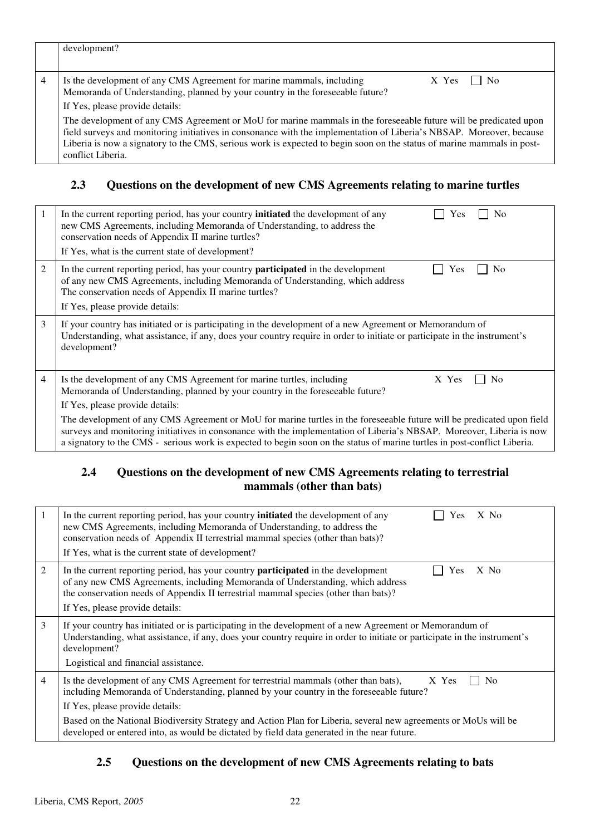| development?                                                                                                                                                                                                                                                                                                                                                                            |
|-----------------------------------------------------------------------------------------------------------------------------------------------------------------------------------------------------------------------------------------------------------------------------------------------------------------------------------------------------------------------------------------|
| Is the development of any CMS Agreement for marine mammals, including<br>$X$ Yes $ $   No                                                                                                                                                                                                                                                                                               |
| Memoranda of Understanding, planned by your country in the foreseeable future?                                                                                                                                                                                                                                                                                                          |
| If Yes, please provide details:                                                                                                                                                                                                                                                                                                                                                         |
| The development of any CMS Agreement or MoU for marine mammals in the foreseeable future will be predicated upon<br>field surveys and monitoring initiatives in consonance with the implementation of Liberia's NBSAP. Moreover, because<br>Liberia is now a signatory to the CMS, serious work is expected to begin soon on the status of marine mammals in post-<br>conflict Liberia. |

### **2.3 Questions on the development of new CMS Agreements relating to marine turtles**

| 1 | In the current reporting period, has your country <b>initiated</b> the development of any<br>$\overline{N}$<br>Yes<br>new CMS Agreements, including Memoranda of Understanding, to address the<br>conservation needs of Appendix II marine turtles?<br>If Yes, what is the current state of development?                                                                     |
|---|------------------------------------------------------------------------------------------------------------------------------------------------------------------------------------------------------------------------------------------------------------------------------------------------------------------------------------------------------------------------------|
| 2 | In the current reporting period, has your country <b>participated</b> in the development<br>N <sub>0</sub><br>Yes<br>of any new CMS Agreements, including Memoranda of Understanding, which address<br>The conservation needs of Appendix II marine turtles?<br>If Yes, please provide details:                                                                              |
| 3 | If your country has initiated or is participating in the development of a new Agreement or Memorandum of<br>Understanding, what assistance, if any, does your country require in order to initiate or participate in the instrument's<br>development?                                                                                                                        |
| 4 | Is the development of any CMS Agreement for marine turtles, including<br>No<br>X Yes<br>Memoranda of Understanding, planned by your country in the foreseeable future?<br>If Yes, please provide details:                                                                                                                                                                    |
|   | The development of any CMS Agreement or MoU for marine turtles in the foreseeable future will be predicated upon field<br>surveys and monitoring initiatives in consonance with the implementation of Liberia's NBSAP. Moreover, Liberia is now<br>a signatory to the CMS - serious work is expected to begin soon on the status of marine turtles in post-conflict Liberia. |

#### **2.4 Questions on the development of new CMS Agreements relating to terrestrial mammals (other than bats)**

| -1 | $X$ No<br>In the current reporting period, has your country <b>initiated</b> the development of any<br>Yes<br>new CMS Agreements, including Memoranda of Understanding, to address the<br>conservation needs of Appendix II terrestrial mammal species (other than bats)?<br>If Yes, what is the current state of development?                                                                                                                                 |
|----|----------------------------------------------------------------------------------------------------------------------------------------------------------------------------------------------------------------------------------------------------------------------------------------------------------------------------------------------------------------------------------------------------------------------------------------------------------------|
| 2  | In the current reporting period, has your country <b>participated</b> in the development<br>Yes<br>$X$ No<br>of any new CMS Agreements, including Memoranda of Understanding, which address<br>the conservation needs of Appendix II terrestrial mammal species (other than bats)?<br>If Yes, please provide details:                                                                                                                                          |
| 3  | If your country has initiated or is participating in the development of a new Agreement or Memorandum of<br>Understanding, what assistance, if any, does your country require in order to initiate or participate in the instrument's<br>development?<br>Logistical and financial assistance.                                                                                                                                                                  |
| 4  | Is the development of any CMS Agreement for terrestrial mammals (other than bats),<br>X Yes<br>N <sub>0</sub><br>including Memoranda of Understanding, planned by your country in the foreseeable future?<br>If Yes, please provide details:<br>Based on the National Biodiversity Strategy and Action Plan for Liberia, several new agreements or MoUs will be<br>developed or entered into, as would be dictated by field data generated in the near future. |

### **2.5 Questions on the development of new CMS Agreements relating to bats**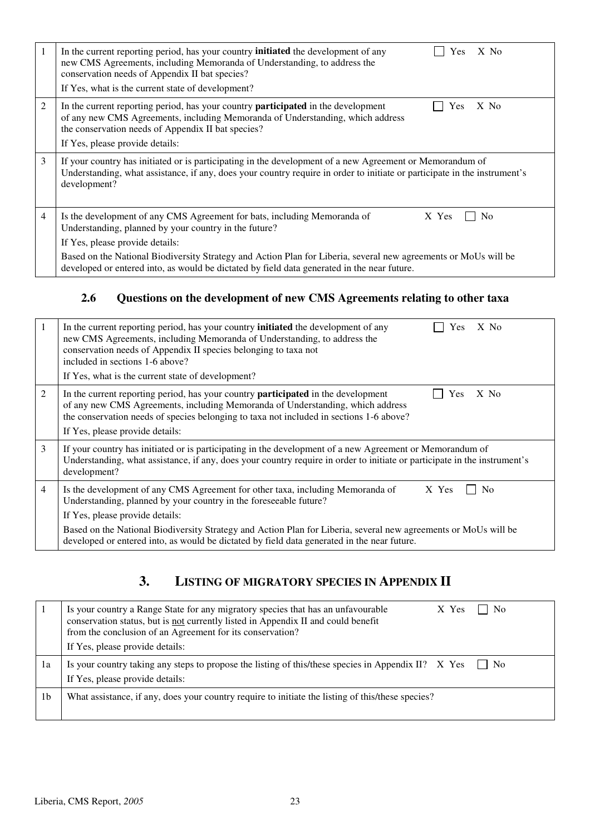| 1              | In the current reporting period, has your country <b>initiated</b> the development of any<br>$X$ No<br>Yes<br>new CMS Agreements, including Memoranda of Understanding, to address the<br>conservation needs of Appendix II bat species?<br>If Yes, what is the current state of development? |
|----------------|-----------------------------------------------------------------------------------------------------------------------------------------------------------------------------------------------------------------------------------------------------------------------------------------------|
| $\overline{2}$ | In the current reporting period, has your country <b>participated</b> in the development<br>Yes<br>$X$ No<br>of any new CMS Agreements, including Memoranda of Understanding, which address<br>the conservation needs of Appendix II bat species?<br>If Yes, please provide details:          |
| 3              | If your country has initiated or is participating in the development of a new Agreement or Memorandum of<br>Understanding, what assistance, if any, does your country require in order to initiate or participate in the instrument's<br>development?                                         |
| 4              | Is the development of any CMS Agreement for bats, including Memoranda of<br>X Yes<br>N <sub>0</sub><br>Understanding, planned by your country in the future?<br>If Yes, please provide details:                                                                                               |
|                | Based on the National Biodiversity Strategy and Action Plan for Liberia, several new agreements or MoUs will be<br>developed or entered into, as would be dictated by field data generated in the near future.                                                                                |

### **2.6 Questions on the development of new CMS Agreements relating to other taxa**

| 1              | In the current reporting period, has your country <b>initiated</b> the development of any<br>X No<br>Yes<br>new CMS Agreements, including Memoranda of Understanding, to address the<br>conservation needs of Appendix II species belonging to taxa not<br>included in sections 1-6 above?<br>If Yes, what is the current state of development?                                                                                     |
|----------------|-------------------------------------------------------------------------------------------------------------------------------------------------------------------------------------------------------------------------------------------------------------------------------------------------------------------------------------------------------------------------------------------------------------------------------------|
| 2              | In the current reporting period, has your country <b>participated</b> in the development<br>Yes<br>$X$ No<br>of any new CMS Agreements, including Memoranda of Understanding, which address<br>the conservation needs of species belonging to taxa not included in sections 1-6 above?<br>If Yes, please provide details:                                                                                                           |
| 3              | If your country has initiated or is participating in the development of a new Agreement or Memorandum of<br>Understanding, what assistance, if any, does your country require in order to initiate or participate in the instrument's<br>development?                                                                                                                                                                               |
| $\overline{4}$ | Is the development of any CMS Agreement for other taxa, including Memoranda of<br>X Yes<br>N <sub>0</sub><br>Understanding, planned by your country in the foreseeable future?<br>If Yes, please provide details:<br>Based on the National Biodiversity Strategy and Action Plan for Liberia, several new agreements or MoUs will be<br>developed or entered into, as would be dictated by field data generated in the near future. |

## **3. LISTING OF MIGRATORY SPECIES IN APPENDIX II**

|                | Is your country a Range State for any migratory species that has an unfavourable<br>conservation status, but is not currently listed in Appendix II and could benefit<br>from the conclusion of an Agreement for its conservation?<br>If Yes, please provide details: | X Yes | No.             |
|----------------|-----------------------------------------------------------------------------------------------------------------------------------------------------------------------------------------------------------------------------------------------------------------------|-------|-----------------|
| 1a             | Is your country taking any steps to propose the listing of this/these species in Appendix II? $\bar{X}$ Yes<br>If Yes, please provide details:                                                                                                                        |       | $\mathsf{I}$ No |
| 1 <sub>b</sub> | What assistance, if any, does your country require to initiate the listing of this/these species?                                                                                                                                                                     |       |                 |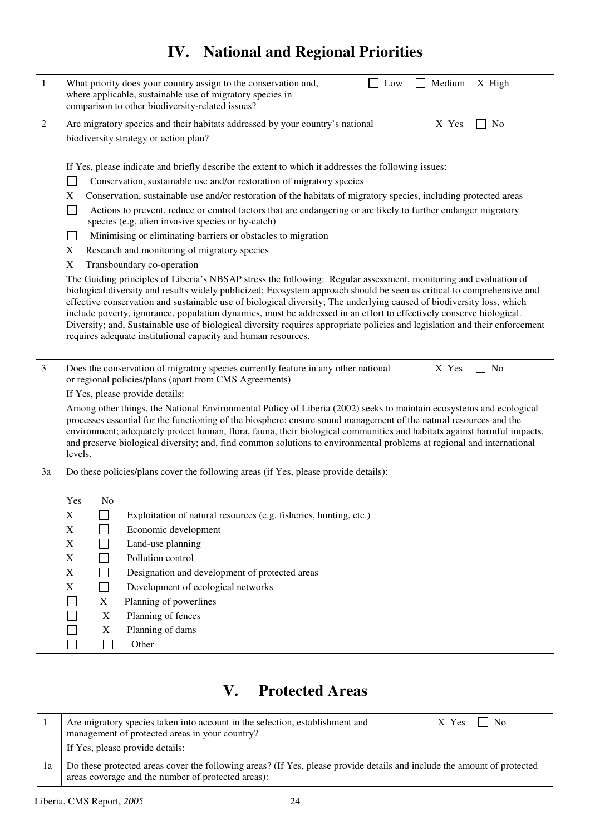# **IV. National and Regional Priorities**

| 1  | What priority does your country assign to the conservation and,<br>Medium<br>X High<br>Low<br>where applicable, sustainable use of migratory species in<br>comparison to other biodiversity-related issues?                                                                                                                                                                                                                                                                                                                                                                                                                                                                                                                                                                                                                                                                                                                                                                                                                                                                                                                                                                                                                                                                                                                                                                               |
|----|-------------------------------------------------------------------------------------------------------------------------------------------------------------------------------------------------------------------------------------------------------------------------------------------------------------------------------------------------------------------------------------------------------------------------------------------------------------------------------------------------------------------------------------------------------------------------------------------------------------------------------------------------------------------------------------------------------------------------------------------------------------------------------------------------------------------------------------------------------------------------------------------------------------------------------------------------------------------------------------------------------------------------------------------------------------------------------------------------------------------------------------------------------------------------------------------------------------------------------------------------------------------------------------------------------------------------------------------------------------------------------------------|
| 2  | Are migratory species and their habitats addressed by your country's national<br>X Yes<br>No<br>biodiversity strategy or action plan?                                                                                                                                                                                                                                                                                                                                                                                                                                                                                                                                                                                                                                                                                                                                                                                                                                                                                                                                                                                                                                                                                                                                                                                                                                                     |
|    | If Yes, please indicate and briefly describe the extent to which it addresses the following issues:<br>Conservation, sustainable use and/or restoration of migratory species<br>$\mathbf{I}$<br>Conservation, sustainable use and/or restoration of the habitats of migratory species, including protected areas<br>X<br>Actions to prevent, reduce or control factors that are endangering or are likely to further endanger migratory<br>$\mathcal{L}_{\mathcal{A}}$<br>species (e.g. alien invasive species or by-catch)<br>Minimising or eliminating barriers or obstacles to migration<br>e de<br>Research and monitoring of migratory species<br>X<br>Transboundary co-operation<br>X<br>The Guiding principles of Liberia's NBSAP stress the following: Regular assessment, monitoring and evaluation of<br>biological diversity and results widely publicized; Ecosystem approach should be seen as critical to comprehensive and<br>effective conservation and sustainable use of biological diversity; The underlying caused of biodiversity loss, which<br>include poverty, ignorance, population dynamics, must be addressed in an effort to effectively conserve biological.<br>Diversity; and, Sustainable use of biological diversity requires appropriate policies and legislation and their enforcement<br>requires adequate institutional capacity and human resources. |
| 3  | Does the conservation of migratory species currently feature in any other national<br>X Yes<br>N <sub>0</sub><br>or regional policies/plans (apart from CMS Agreements)<br>If Yes, please provide details:<br>Among other things, the National Environmental Policy of Liberia (2002) seeks to maintain ecosystems and ecological                                                                                                                                                                                                                                                                                                                                                                                                                                                                                                                                                                                                                                                                                                                                                                                                                                                                                                                                                                                                                                                         |
|    | processes essential for the functioning of the biosphere; ensure sound management of the natural resources and the<br>environment; adequately protect human, flora, fauna, their biological communities and habitats against harmful impacts,<br>and preserve biological diversity; and, find common solutions to environmental problems at regional and international<br>levels.                                                                                                                                                                                                                                                                                                                                                                                                                                                                                                                                                                                                                                                                                                                                                                                                                                                                                                                                                                                                         |
| 3a | Do these policies/plans cover the following areas (if Yes, please provide details):                                                                                                                                                                                                                                                                                                                                                                                                                                                                                                                                                                                                                                                                                                                                                                                                                                                                                                                                                                                                                                                                                                                                                                                                                                                                                                       |
|    | No<br>Yes                                                                                                                                                                                                                                                                                                                                                                                                                                                                                                                                                                                                                                                                                                                                                                                                                                                                                                                                                                                                                                                                                                                                                                                                                                                                                                                                                                                 |
|    | Exploitation of natural resources (e.g. fisheries, hunting, etc.)<br>Х                                                                                                                                                                                                                                                                                                                                                                                                                                                                                                                                                                                                                                                                                                                                                                                                                                                                                                                                                                                                                                                                                                                                                                                                                                                                                                                    |
|    | $\mathbf X$<br>Economic development<br>$\sim$                                                                                                                                                                                                                                                                                                                                                                                                                                                                                                                                                                                                                                                                                                                                                                                                                                                                                                                                                                                                                                                                                                                                                                                                                                                                                                                                             |
|    | $\mathbf X$<br>Land-use planning<br>Pollution control<br>X                                                                                                                                                                                                                                                                                                                                                                                                                                                                                                                                                                                                                                                                                                                                                                                                                                                                                                                                                                                                                                                                                                                                                                                                                                                                                                                                |
|    | $\mathbf X$<br>Designation and development of protected areas                                                                                                                                                                                                                                                                                                                                                                                                                                                                                                                                                                                                                                                                                                                                                                                                                                                                                                                                                                                                                                                                                                                                                                                                                                                                                                                             |
|    | Development of ecological networks<br>X                                                                                                                                                                                                                                                                                                                                                                                                                                                                                                                                                                                                                                                                                                                                                                                                                                                                                                                                                                                                                                                                                                                                                                                                                                                                                                                                                   |
|    | Planning of powerlines<br>X                                                                                                                                                                                                                                                                                                                                                                                                                                                                                                                                                                                                                                                                                                                                                                                                                                                                                                                                                                                                                                                                                                                                                                                                                                                                                                                                                               |
|    | Planning of fences<br>$\mathbf X$                                                                                                                                                                                                                                                                                                                                                                                                                                                                                                                                                                                                                                                                                                                                                                                                                                                                                                                                                                                                                                                                                                                                                                                                                                                                                                                                                         |
|    | Planning of dams<br>$\mathbf X$                                                                                                                                                                                                                                                                                                                                                                                                                                                                                                                                                                                                                                                                                                                                                                                                                                                                                                                                                                                                                                                                                                                                                                                                                                                                                                                                                           |
|    | П<br>Other                                                                                                                                                                                                                                                                                                                                                                                                                                                                                                                                                                                                                                                                                                                                                                                                                                                                                                                                                                                                                                                                                                                                                                                                                                                                                                                                                                                |

# **V. Protected Areas**

|    | Are migratory species taken into account in the selection, establishment and<br><b>No</b><br>$X$ Yes $\Box$<br>management of protected areas in your country?<br>If Yes, please provide details: |  |
|----|--------------------------------------------------------------------------------------------------------------------------------------------------------------------------------------------------|--|
| 1a | Do these protected areas cover the following areas? (If Yes, please provide details and include the amount of protected<br>areas coverage and the number of protected areas):                    |  |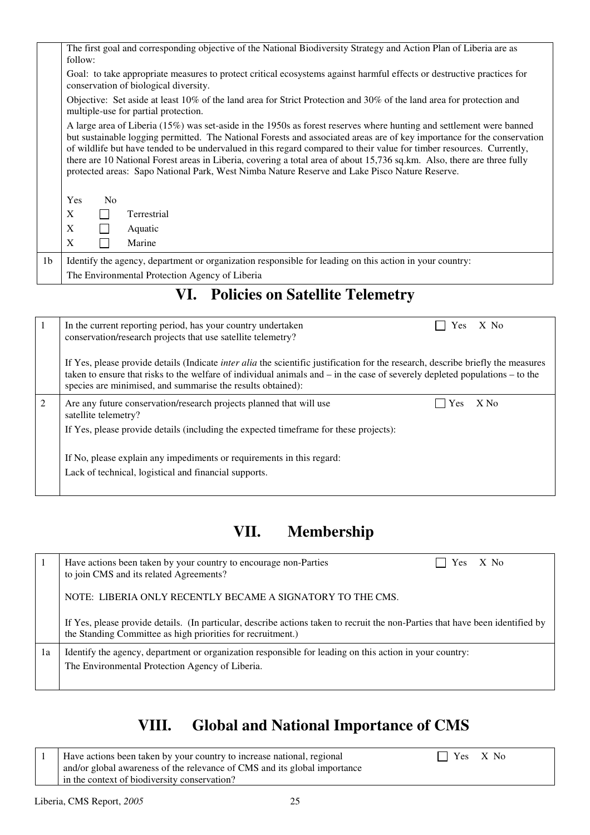|                | The first goal and corresponding objective of the National Biodiversity Strategy and Action Plan of Liberia are as<br>follow:                                                                                                                                                                                                                                                                                                                                                                                                                                                                        |
|----------------|------------------------------------------------------------------------------------------------------------------------------------------------------------------------------------------------------------------------------------------------------------------------------------------------------------------------------------------------------------------------------------------------------------------------------------------------------------------------------------------------------------------------------------------------------------------------------------------------------|
|                | Goal: to take appropriate measures to protect critical ecosystems against harmful effects or destructive practices for<br>conservation of biological diversity.                                                                                                                                                                                                                                                                                                                                                                                                                                      |
|                | Objective: Set aside at least $10\%$ of the land area for Strict Protection and $30\%$ of the land area for protection and<br>multiple-use for partial protection.                                                                                                                                                                                                                                                                                                                                                                                                                                   |
|                | A large area of Liberia (15%) was set-aside in the 1950s as forest reserves where hunting and settlement were banned<br>but sustainable logging permitted. The National Forests and associated areas are of key importance for the conservation<br>of wildlife but have tended to be undervalued in this regard compared to their value for timber resources. Currently,<br>there are 10 National Forest areas in Liberia, covering a total area of about 15,736 sq.km. Also, there are three fully<br>protected areas: Sapo National Park, West Nimba Nature Reserve and Lake Pisco Nature Reserve. |
|                | <b>Yes</b><br>N <sub>0</sub>                                                                                                                                                                                                                                                                                                                                                                                                                                                                                                                                                                         |
|                | X<br>Terrestrial                                                                                                                                                                                                                                                                                                                                                                                                                                                                                                                                                                                     |
|                | $\mathbf{X}$<br>Aquatic                                                                                                                                                                                                                                                                                                                                                                                                                                                                                                                                                                              |
|                | X<br>Marine                                                                                                                                                                                                                                                                                                                                                                                                                                                                                                                                                                                          |
| 1 <sub>b</sub> | Identify the agency, department or organization responsible for leading on this action in your country:                                                                                                                                                                                                                                                                                                                                                                                                                                                                                              |
|                | The Environmental Protection Agency of Liberia                                                                                                                                                                                                                                                                                                                                                                                                                                                                                                                                                       |

# **VI. Policies on Satellite Telemetry**

|   | $X$ No<br>In the current reporting period, has your country undertaken<br><b>Yes</b><br>conservation/research projects that use satellite telemetry?                                                                                                                                                                                      |
|---|-------------------------------------------------------------------------------------------------------------------------------------------------------------------------------------------------------------------------------------------------------------------------------------------------------------------------------------------|
|   | If Yes, please provide details (Indicate <i>inter alia</i> the scientific justification for the research, describe briefly the measures<br>taken to ensure that risks to the welfare of individual animals and $-$ in the case of severely depleted populations $-$ to the<br>species are minimised, and summarise the results obtained): |
| 2 | $X$ No<br>Are any future conservation/research projects planned that will use<br>Yes<br>satellite telemetry?                                                                                                                                                                                                                              |
|   | If Yes, please provide details (including the expected timeframe for these projects):                                                                                                                                                                                                                                                     |
|   | If No, please explain any impediments or requirements in this regard:                                                                                                                                                                                                                                                                     |
|   | Lack of technical, logistical and financial supports.                                                                                                                                                                                                                                                                                     |
|   |                                                                                                                                                                                                                                                                                                                                           |

# **VII. Membership**

|    | $X$ No<br>Have actions been taken by your country to encourage non-Parties<br><b>Yes</b><br>to join CMS and its related Agreements?                                                           |
|----|-----------------------------------------------------------------------------------------------------------------------------------------------------------------------------------------------|
|    | NOTE: LIBERIA ONLY RECENTLY BECAME A SIGNATORY TO THE CMS.                                                                                                                                    |
|    | If Yes, please provide details. (In particular, describe actions taken to recruit the non-Parties that have been identified by<br>the Standing Committee as high priorities for recruitment.) |
| 1a | Identify the agency, department or organization responsible for leading on this action in your country:<br>The Environmental Protection Agency of Liberia.                                    |

# **VIII. Global and National Importance of CMS**

1 Have actions been taken by your country to increase national, regional  $\Box$  Yes X No and/or global awareness of the relevance of CMS and its global importance in the context of biodiversity conservation?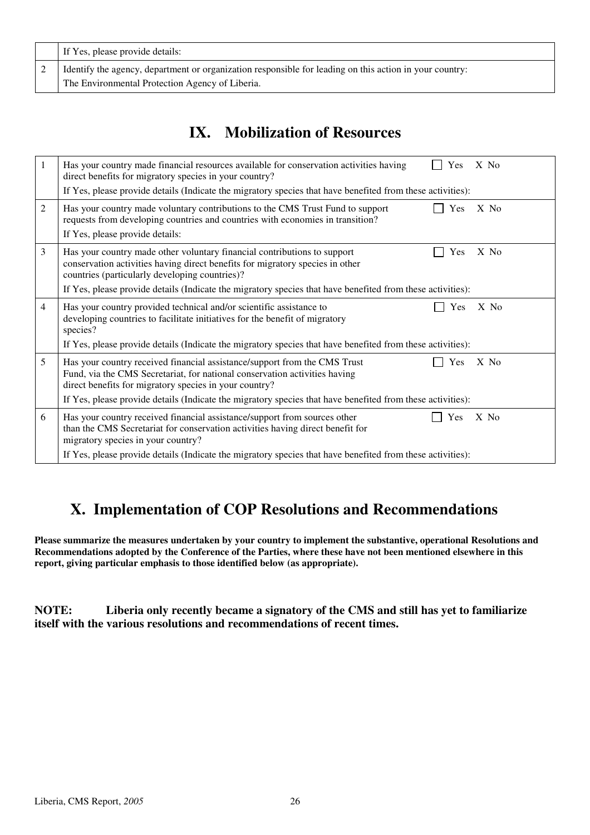| If Yes, please provide details:                                                                                                                            |
|------------------------------------------------------------------------------------------------------------------------------------------------------------|
| Identify the agency, department or organization responsible for leading on this action in your country:<br>The Environmental Protection Agency of Liberia. |

# **IX. Mobilization of Resources**

| $\mathbf{1}$   | $X$ No<br>Has your country made financial resources available for conservation activities having<br>Yes<br>direct benefits for migratory species in your country?<br>If Yes, please provide details (Indicate the migratory species that have benefited from these activities): |
|----------------|---------------------------------------------------------------------------------------------------------------------------------------------------------------------------------------------------------------------------------------------------------------------------------|
| 2              | Has your country made voluntary contributions to the CMS Trust Fund to support<br>Yes<br>$X$ No<br>requests from developing countries and countries with economies in transition?<br>If Yes, please provide details:                                                            |
| 3              | Has your country made other voluntary financial contributions to support<br>Yes<br>X No<br>conservation activities having direct benefits for migratory species in other<br>countries (particularly developing countries)?                                                      |
|                | If Yes, please provide details (Indicate the migratory species that have benefited from these activities):                                                                                                                                                                      |
| $\overline{4}$ | Has your country provided technical and/or scientific assistance to<br>Yes<br>$X$ No<br>developing countries to facilitate initiatives for the benefit of migratory<br>species?                                                                                                 |
|                | If Yes, please provide details (Indicate the migratory species that have benefited from these activities):                                                                                                                                                                      |
| 5              | Has your country received financial assistance/support from the CMS Trust<br>Yes<br>$X$ No<br>Fund, via the CMS Secretariat, for national conservation activities having<br>direct benefits for migratory species in your country?                                              |
|                | If Yes, please provide details (Indicate the migratory species that have benefited from these activities):                                                                                                                                                                      |
| 6              | Has your country received financial assistance/support from sources other<br>Yes<br>$X$ No<br>than the CMS Secretariat for conservation activities having direct benefit for<br>migratory species in your country?                                                              |
|                | If Yes, please provide details (Indicate the migratory species that have benefited from these activities):                                                                                                                                                                      |

# **X. Implementation of COP Resolutions and Recommendations**

**Please summarize the measures undertaken by your country to implement the substantive, operational Resolutions and Recommendations adopted by the Conference of the Parties, where these have not been mentioned elsewhere in this report, giving particular emphasis to those identified below (as appropriate).**

**NOTE: Liberia only recently became a signatory of the CMS and still has yet to familiarize itself with the various resolutions and recommendations of recent times.**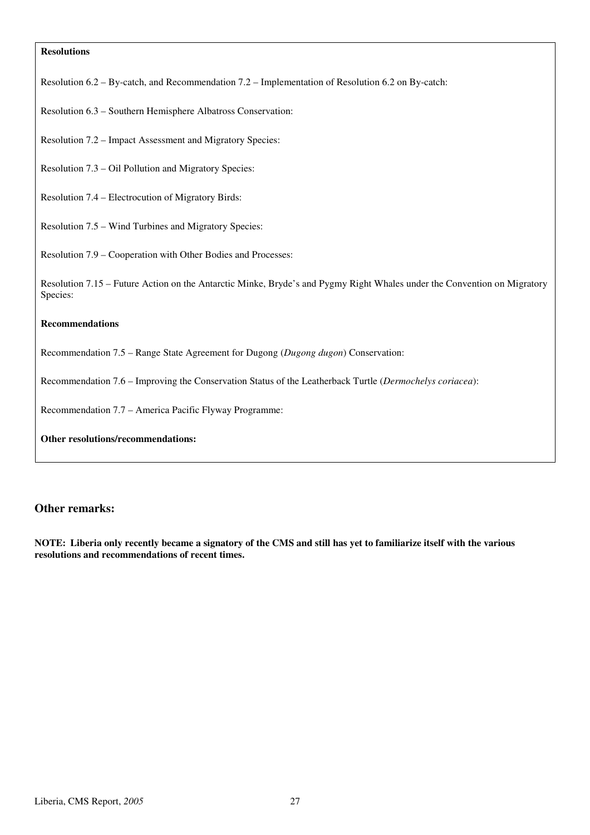#### **Resolutions**

Resolution 6.2 – By-catch, and Recommendation 7.2 – Implementation of Resolution 6.2 on By-catch:

Resolution 6.3 – Southern Hemisphere Albatross Conservation:

Resolution 7.2 – Impact Assessment and Migratory Species:

Resolution 7.3 – Oil Pollution and Migratory Species:

Resolution 7.4 – Electrocution of Migratory Birds:

Resolution 7.5 – Wind Turbines and Migratory Species:

Resolution 7.9 – Cooperation with Other Bodies and Processes:

Resolution 7.15 – Future Action on the Antarctic Minke, Bryde's and Pygmy Right Whales under the Convention on Migratory Species:

#### **Recommendations**

Recommendation 7.5 – Range State Agreement for Dugong (*Dugong dugon*) Conservation:

Recommendation 7.6 – Improving the Conservation Status of the Leatherback Turtle (*Dermochelys coriacea*):

Recommendation 7.7 – America Pacific Flyway Programme:

**Other resolutions/recommendations:** 

#### **Other remarks:**

**NOTE: Liberia only recently became a signatory of the CMS and still has yet to familiarize itself with the various resolutions and recommendations of recent times.**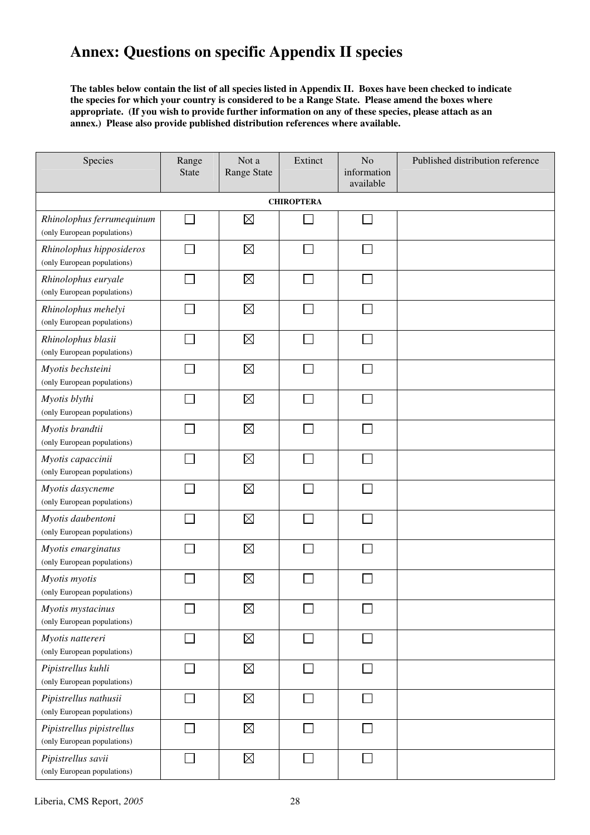# **Annex: Questions on specific Appendix II species**

**The tables below contain the list of all species listed in Appendix II. Boxes have been checked to indicate the species for which your country is considered to be a Range State. Please amend the boxes where appropriate. (If you wish to provide further information on any of these species, please attach as an annex.) Please also provide published distribution references where available.** 

| Species                                                  | Range<br><b>State</b>       | Not a<br>Range State | Extinct                     | No<br>information<br>available | Published distribution reference |  |  |  |  |  |  |
|----------------------------------------------------------|-----------------------------|----------------------|-----------------------------|--------------------------------|----------------------------------|--|--|--|--|--|--|
| <b>CHIROPTERA</b>                                        |                             |                      |                             |                                |                                  |  |  |  |  |  |  |
| Rhinolophus ferrumequinum<br>(only European populations) | J.                          | $\boxtimes$          |                             |                                |                                  |  |  |  |  |  |  |
| Rhinolophus hipposideros<br>(only European populations)  |                             | $\boxtimes$          |                             |                                |                                  |  |  |  |  |  |  |
| Rhinolophus euryale<br>(only European populations)       |                             | $\boxtimes$          |                             |                                |                                  |  |  |  |  |  |  |
| Rhinolophus mehelyi<br>(only European populations)       |                             | $\boxtimes$          |                             |                                |                                  |  |  |  |  |  |  |
| Rhinolophus blasii<br>(only European populations)        |                             | $\boxtimes$          | $\sim$                      | $\sim$                         |                                  |  |  |  |  |  |  |
| Myotis bechsteini<br>(only European populations)         | $\mathcal{L}_{\mathcal{A}}$ | $\boxtimes$          | $\sim$                      | $\sim$                         |                                  |  |  |  |  |  |  |
| Myotis blythi<br>(only European populations)             |                             | $\boxtimes$          |                             |                                |                                  |  |  |  |  |  |  |
| Myotis brandtii<br>(only European populations)           |                             | $\boxtimes$          |                             |                                |                                  |  |  |  |  |  |  |
| Myotis capaccinii<br>(only European populations)         |                             | $\boxtimes$          |                             |                                |                                  |  |  |  |  |  |  |
| Myotis dasycneme<br>(only European populations)          |                             | $\boxtimes$          |                             |                                |                                  |  |  |  |  |  |  |
| Myotis daubentoni<br>(only European populations)         |                             | $\boxtimes$          |                             |                                |                                  |  |  |  |  |  |  |
| Myotis emarginatus<br>(only European populations)        |                             | $\boxtimes$          |                             |                                |                                  |  |  |  |  |  |  |
| Myotis myotis<br>(only European populations)             |                             | $\boxtimes$          |                             |                                |                                  |  |  |  |  |  |  |
| Myotis mystacinus<br>(only European populations)         |                             | $\boxtimes$          |                             | $\overline{\phantom{0}}$       |                                  |  |  |  |  |  |  |
| Myotis nattereri<br>(only European populations)          |                             | $\boxtimes$          | n an an Aon                 |                                |                                  |  |  |  |  |  |  |
| Pipistrellus kuhli<br>(only European populations)        |                             | $\boxtimes$          |                             |                                |                                  |  |  |  |  |  |  |
| Pipistrellus nathusii<br>(only European populations)     |                             | $\boxtimes$          | $\mathcal{L}_{\mathcal{A}}$ | $\Box$                         |                                  |  |  |  |  |  |  |
| Pipistrellus pipistrellus<br>(only European populations) |                             | $\boxtimes$          |                             |                                |                                  |  |  |  |  |  |  |
| Pipistrellus savii<br>(only European populations)        |                             | $\boxtimes$          | $\Box$                      | $\vert \ \ \vert$              |                                  |  |  |  |  |  |  |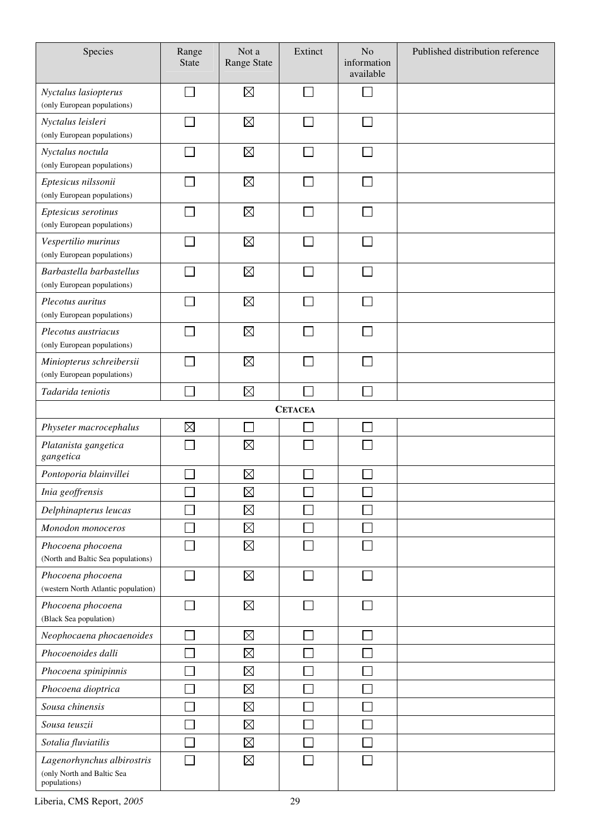| Species                                                                  | Range<br><b>State</b> | Not a<br><b>Range State</b> | Extinct        | No<br>information<br>available | Published distribution reference |
|--------------------------------------------------------------------------|-----------------------|-----------------------------|----------------|--------------------------------|----------------------------------|
| Nyctalus lasiopterus<br>(only European populations)                      |                       | $\boxtimes$                 |                |                                |                                  |
| Nyctalus leisleri<br>(only European populations)                         |                       | $\boxtimes$                 |                |                                |                                  |
| Nyctalus noctula<br>(only European populations)                          |                       | $\boxtimes$                 |                |                                |                                  |
| Eptesicus nilssonii<br>(only European populations)                       |                       | $\boxtimes$                 |                |                                |                                  |
| Eptesicus serotinus<br>(only European populations)                       |                       | $\boxtimes$                 |                |                                |                                  |
| Vespertilio murinus<br>(only European populations)                       |                       | $\boxtimes$                 |                |                                |                                  |
| Barbastella barbastellus<br>(only European populations)                  |                       | $\boxtimes$                 |                |                                |                                  |
| Plecotus auritus<br>(only European populations)                          |                       | $\boxtimes$                 |                |                                |                                  |
| Plecotus austriacus<br>(only European populations)                       |                       | $\boxtimes$                 |                |                                |                                  |
| Miniopterus schreibersii<br>(only European populations)                  |                       | $\boxtimes$                 |                |                                |                                  |
| Tadarida teniotis                                                        |                       | $\boxtimes$                 |                |                                |                                  |
|                                                                          |                       |                             | <b>CETACEA</b> |                                |                                  |
| Physeter macrocephalus                                                   | $\boxtimes$           |                             |                |                                |                                  |
| Platanista gangetica<br>gangetica                                        |                       | $\boxtimes$                 |                |                                |                                  |
| Pontoporia blainvillei                                                   |                       | $\boxtimes$                 |                |                                |                                  |
| Inia geoffrensis                                                         |                       | $\boxtimes$                 |                |                                |                                  |
| Delphinapterus leucas                                                    |                       | $\boxtimes$                 |                |                                |                                  |
| Monodon monoceros                                                        |                       | $\boxtimes$                 |                |                                |                                  |
| Phocoena phocoena<br>(North and Baltic Sea populations)                  |                       | $\boxtimes$                 |                |                                |                                  |
| Phocoena phocoena<br>(western North Atlantic population)                 |                       | $\boxtimes$                 |                |                                |                                  |
| Phocoena phocoena<br>(Black Sea population)                              |                       | $\boxtimes$                 |                |                                |                                  |
| Neophocaena phocaenoides                                                 |                       | $\boxtimes$                 |                |                                |                                  |
| Phocoenoides dalli                                                       |                       | $\boxtimes$                 |                |                                |                                  |
| Phocoena spinipinnis                                                     |                       | $\boxtimes$                 |                |                                |                                  |
| Phocoena dioptrica                                                       |                       | $\boxtimes$                 |                |                                |                                  |
| Sousa chinensis                                                          |                       | $\boxtimes$                 |                |                                |                                  |
| Sousa teuszii                                                            |                       | $\boxtimes$                 |                |                                |                                  |
| Sotalia fluviatilis                                                      |                       | $\boxtimes$                 |                |                                |                                  |
| Lagenorhynchus albirostris<br>(only North and Baltic Sea<br>populations) |                       | $\boxtimes$                 |                |                                |                                  |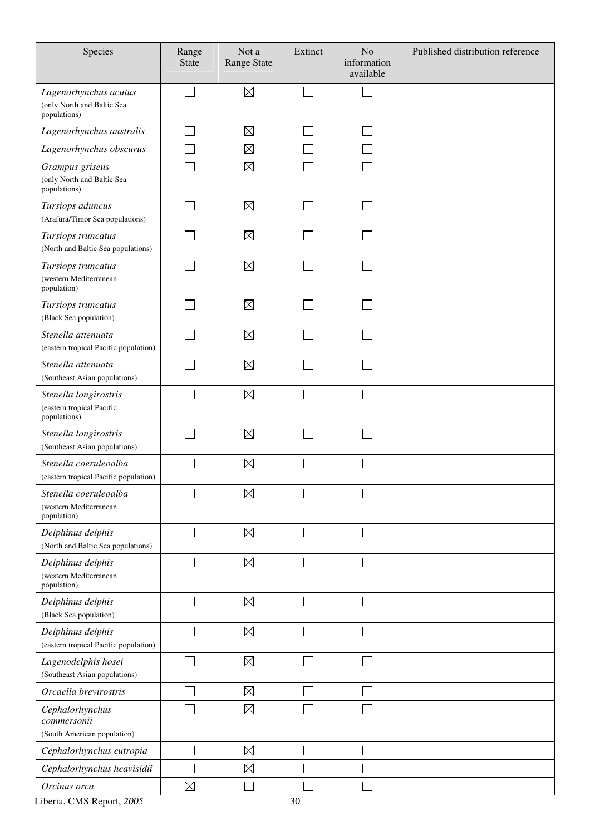| Species                                                             | Range<br><b>State</b>    | Not a<br>Range State | Extinct | N <sub>o</sub><br>information<br>available | Published distribution reference |
|---------------------------------------------------------------------|--------------------------|----------------------|---------|--------------------------------------------|----------------------------------|
| Lagenorhynchus acutus<br>(only North and Baltic Sea<br>populations) | $\blacksquare$           | $\boxtimes$          |         |                                            |                                  |
| Lagenorhynchus australis                                            |                          | $\boxtimes$          |         |                                            |                                  |
| Lagenorhynchus obscurus                                             |                          | $\boxtimes$          |         |                                            |                                  |
| Grampus griseus<br>(only North and Baltic Sea<br>populations)       |                          | $\boxtimes$          |         |                                            |                                  |
| Tursiops aduncus<br>(Arafura/Timor Sea populations)                 | ┓                        | $\boxtimes$          |         |                                            |                                  |
| Tursiops truncatus<br>(North and Baltic Sea populations)            | $\overline{\phantom{a}}$ | $\boxtimes$          |         |                                            |                                  |
| Tursiops truncatus<br>(western Mediterranean<br>population)         |                          | $\boxtimes$          |         |                                            |                                  |
| Tursiops truncatus<br>(Black Sea population)                        |                          | $\boxtimes$          |         |                                            |                                  |
| Stenella attenuata<br>(eastern tropical Pacific population)         |                          | $\boxtimes$          |         |                                            |                                  |
| Stenella attenuata<br>(Southeast Asian populations)                 |                          | $\boxtimes$          |         |                                            |                                  |
| Stenella longirostris<br>(eastern tropical Pacific<br>populations)  |                          | $\boxtimes$          |         |                                            |                                  |
| Stenella longirostris<br>(Southeast Asian populations)              |                          | $\boxtimes$          |         |                                            |                                  |
| Stenella coeruleoalba<br>(eastern tropical Pacific population)      |                          | $\boxtimes$          |         |                                            |                                  |
| Stenella coeruleoalba<br>(western Mediterranean<br>population)      |                          | $\boxtimes$          |         |                                            |                                  |
| Delphinus delphis<br>(North and Baltic Sea populations)             | $\overline{\phantom{a}}$ | $\boxtimes$          |         |                                            |                                  |
| Delphinus delphis<br>(western Mediterranean<br>population)          | $\Box$                   | $\boxtimes$          |         |                                            |                                  |
| Delphinus delphis<br>(Black Sea population)                         |                          | $\boxtimes$          |         |                                            |                                  |
| Delphinus delphis<br>(eastern tropical Pacific population)          |                          | $\boxtimes$          |         |                                            |                                  |
| Lagenodelphis hosei<br>(Southeast Asian populations)                |                          | $\boxtimes$          |         |                                            |                                  |
| Orcaella brevirostris                                               |                          | $\boxtimes$          |         |                                            |                                  |
| Cephalorhynchus<br>commersonii<br>(South American population)       |                          | $\boxtimes$          |         |                                            |                                  |
| Cephalorhynchus eutropia                                            |                          | $\boxtimes$          |         |                                            |                                  |
| Cephalorhynchus heavisidii                                          |                          | $\boxtimes$          |         |                                            |                                  |
| Orcinus orca                                                        | $\boxtimes$              |                      |         |                                            |                                  |

Liberia, CMS Report, 2005 30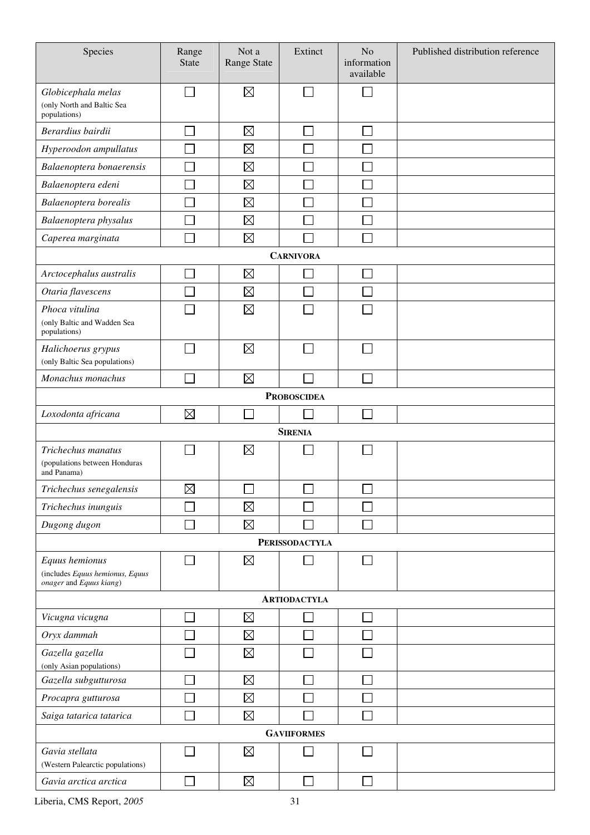| Species                                                                      | Range<br><b>State</b> | Not a<br><b>Range State</b> | Extinct               | N <sub>o</sub><br>information<br>available | Published distribution reference |  |  |  |  |  |
|------------------------------------------------------------------------------|-----------------------|-----------------------------|-----------------------|--------------------------------------------|----------------------------------|--|--|--|--|--|
| Globicephala melas<br>(only North and Baltic Sea<br>populations)             | $\Box$                | $\boxtimes$                 |                       | ٦                                          |                                  |  |  |  |  |  |
| Berardius bairdii                                                            |                       | $\boxtimes$                 |                       |                                            |                                  |  |  |  |  |  |
| Hyperoodon ampullatus                                                        |                       | $\boxtimes$                 |                       |                                            |                                  |  |  |  |  |  |
| Balaenoptera bonaerensis                                                     |                       | $\boxtimes$                 |                       |                                            |                                  |  |  |  |  |  |
| Balaenoptera edeni                                                           |                       | $\boxtimes$                 |                       |                                            |                                  |  |  |  |  |  |
| Balaenoptera borealis                                                        |                       | $\boxtimes$                 |                       |                                            |                                  |  |  |  |  |  |
| Balaenoptera physalus                                                        |                       | $\boxtimes$                 |                       |                                            |                                  |  |  |  |  |  |
| Caperea marginata                                                            |                       | $\boxtimes$                 |                       |                                            |                                  |  |  |  |  |  |
| <b>CARNIVORA</b>                                                             |                       |                             |                       |                                            |                                  |  |  |  |  |  |
| Arctocephalus australis                                                      |                       | $\boxtimes$                 |                       |                                            |                                  |  |  |  |  |  |
| Otaria flavescens                                                            |                       | $\boxtimes$                 |                       |                                            |                                  |  |  |  |  |  |
| Phoca vitulina<br>(only Baltic and Wadden Sea<br>populations)                |                       | $\boxtimes$                 |                       |                                            |                                  |  |  |  |  |  |
| Halichoerus grypus                                                           | $\mathcal{L}$         | $\boxtimes$                 |                       |                                            |                                  |  |  |  |  |  |
| (only Baltic Sea populations)                                                |                       |                             |                       |                                            |                                  |  |  |  |  |  |
| Monachus monachus                                                            |                       | $\boxtimes$                 |                       |                                            |                                  |  |  |  |  |  |
|                                                                              |                       |                             | <b>PROBOSCIDEA</b>    |                                            |                                  |  |  |  |  |  |
| Loxodonta africana                                                           | $\boxtimes$           | $\sim$                      |                       |                                            |                                  |  |  |  |  |  |
|                                                                              |                       |                             | <b>SIRENIA</b>        |                                            |                                  |  |  |  |  |  |
| Trichechus manatus<br>(populations between Honduras<br>and Panama)           |                       | $\boxtimes$                 |                       |                                            |                                  |  |  |  |  |  |
| Trichechus senegalensis                                                      | $\boxtimes$           | $\overline{\phantom{0}}$    |                       | $\overline{\phantom{0}}$                   |                                  |  |  |  |  |  |
| Trichechus inunguis                                                          |                       | $\boxtimes$                 |                       |                                            |                                  |  |  |  |  |  |
| Dugong dugon                                                                 |                       | $\boxtimes$                 |                       |                                            |                                  |  |  |  |  |  |
|                                                                              |                       |                             | <b>PERISSODACTYLA</b> |                                            |                                  |  |  |  |  |  |
| Equus hemionus<br>(includes Equus hemionus, Equus<br>onager and Equus kiang) | $\mathbf{L}$          | $\boxtimes$                 |                       |                                            |                                  |  |  |  |  |  |
| <b>ARTIODACTYLA</b>                                                          |                       |                             |                       |                                            |                                  |  |  |  |  |  |
| Vicugna vicugna                                                              |                       | $\boxtimes$                 |                       |                                            |                                  |  |  |  |  |  |
| Oryx dammah                                                                  |                       | $\boxtimes$                 |                       |                                            |                                  |  |  |  |  |  |
| Gazella gazella<br>(only Asian populations)                                  |                       | $\boxtimes$                 |                       |                                            |                                  |  |  |  |  |  |
| Gazella subgutturosa                                                         | Ξ                     | $\boxtimes$                 |                       |                                            |                                  |  |  |  |  |  |
| Procapra gutturosa                                                           |                       | $\boxtimes$                 |                       |                                            |                                  |  |  |  |  |  |
| Saiga tatarica tatarica                                                      |                       | $\boxtimes$                 |                       |                                            |                                  |  |  |  |  |  |
|                                                                              |                       |                             | <b>GAVIIFORMES</b>    |                                            |                                  |  |  |  |  |  |
| Gavia stellata                                                               |                       | $\boxtimes$                 |                       |                                            |                                  |  |  |  |  |  |
| (Western Palearctic populations)                                             |                       |                             |                       |                                            |                                  |  |  |  |  |  |
| Gavia arctica arctica                                                        |                       | $\boxtimes$                 |                       |                                            |                                  |  |  |  |  |  |

Liberia, CMS Report, *2005* 31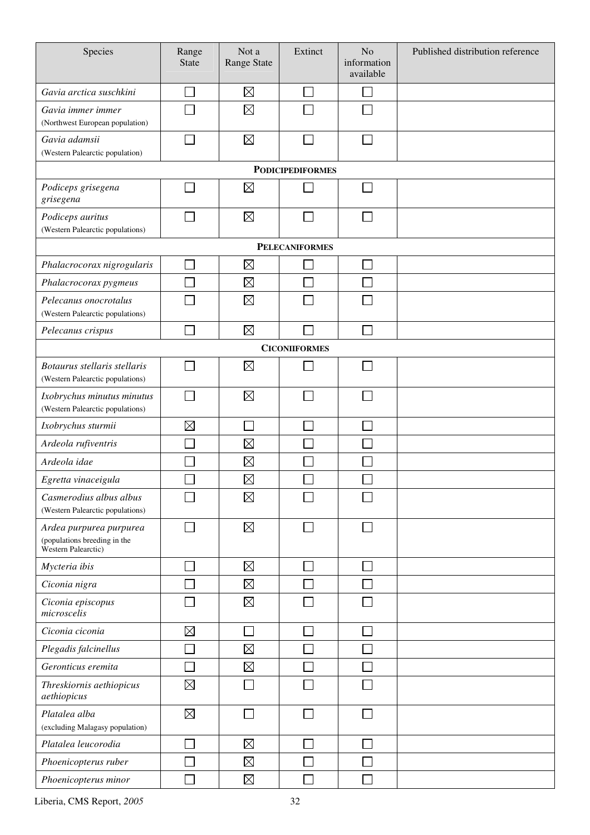| Species                                                                        | Range<br><b>State</b> | Not a<br><b>Range State</b> | Extinct              | N <sub>o</sub><br>information<br>available | Published distribution reference |  |  |  |  |  |  |  |
|--------------------------------------------------------------------------------|-----------------------|-----------------------------|----------------------|--------------------------------------------|----------------------------------|--|--|--|--|--|--|--|
| Gavia arctica suschkini                                                        |                       | $\boxtimes$                 |                      |                                            |                                  |  |  |  |  |  |  |  |
| Gavia immer immer<br>(Northwest European population)                           |                       | $\boxtimes$                 |                      |                                            |                                  |  |  |  |  |  |  |  |
| Gavia adamsii<br>(Western Palearctic population)                               |                       | $\boxtimes$                 |                      | ×                                          |                                  |  |  |  |  |  |  |  |
| <b>PODICIPEDIFORMES</b>                                                        |                       |                             |                      |                                            |                                  |  |  |  |  |  |  |  |
| Podiceps grisegena<br>grisegena                                                |                       | $\boxtimes$                 |                      |                                            |                                  |  |  |  |  |  |  |  |
| Podiceps auritus<br>(Western Palearctic populations)                           |                       | $\boxtimes$                 |                      |                                            |                                  |  |  |  |  |  |  |  |
|                                                                                | <b>PELECANIFORMES</b> |                             |                      |                                            |                                  |  |  |  |  |  |  |  |
| Phalacrocorax nigrogularis                                                     |                       | $\boxtimes$                 |                      | ×                                          |                                  |  |  |  |  |  |  |  |
| Phalacrocorax pygmeus                                                          |                       | $\boxtimes$                 |                      |                                            |                                  |  |  |  |  |  |  |  |
| Pelecanus onocrotalus<br>(Western Palearctic populations)                      |                       | $\boxtimes$                 |                      |                                            |                                  |  |  |  |  |  |  |  |
| Pelecanus crispus                                                              |                       | $\boxtimes$                 |                      |                                            |                                  |  |  |  |  |  |  |  |
|                                                                                |                       |                             | <b>CICONIIFORMES</b> |                                            |                                  |  |  |  |  |  |  |  |
| Botaurus stellaris stellaris<br>(Western Palearctic populations)               |                       | $\boxtimes$                 |                      |                                            |                                  |  |  |  |  |  |  |  |
| Ixobrychus minutus minutus<br>(Western Palearctic populations)                 |                       | $\boxtimes$                 |                      |                                            |                                  |  |  |  |  |  |  |  |
| Ixobrychus sturmii                                                             | $\boxtimes$           |                             |                      |                                            |                                  |  |  |  |  |  |  |  |
| Ardeola rufiventris                                                            |                       | $\boxtimes$                 |                      |                                            |                                  |  |  |  |  |  |  |  |
| Ardeola idae                                                                   |                       | $\boxtimes$                 |                      |                                            |                                  |  |  |  |  |  |  |  |
| Egretta vinaceigula                                                            |                       | $\boxtimes$                 |                      |                                            |                                  |  |  |  |  |  |  |  |
| Casmerodius albus albus<br>(Western Palearctic populations)                    |                       | $\boxtimes$                 |                      |                                            |                                  |  |  |  |  |  |  |  |
| Ardea purpurea purpurea<br>(populations breeding in the<br>Western Palearctic) |                       | $\boxtimes$                 |                      | ×                                          |                                  |  |  |  |  |  |  |  |
| Mycteria ibis                                                                  |                       | $\boxtimes$                 |                      | ×                                          |                                  |  |  |  |  |  |  |  |
| Ciconia nigra                                                                  |                       | $\boxtimes$                 |                      |                                            |                                  |  |  |  |  |  |  |  |
| Ciconia episcopus<br>microscelis                                               |                       | $\boxtimes$                 |                      |                                            |                                  |  |  |  |  |  |  |  |
| Ciconia ciconia                                                                | $\boxtimes$           |                             |                      |                                            |                                  |  |  |  |  |  |  |  |
| Plegadis falcinellus                                                           |                       | $\boxtimes$                 |                      |                                            |                                  |  |  |  |  |  |  |  |
| Geronticus eremita                                                             |                       | $\boxtimes$                 |                      |                                            |                                  |  |  |  |  |  |  |  |
| Threskiornis aethiopicus<br>aethiopicus                                        | $\boxtimes$           |                             |                      |                                            |                                  |  |  |  |  |  |  |  |
| Platalea alba<br>(excluding Malagasy population)                               | $\boxtimes$           |                             |                      |                                            |                                  |  |  |  |  |  |  |  |
| Platalea leucorodia                                                            |                       | $\boxtimes$                 |                      |                                            |                                  |  |  |  |  |  |  |  |
| Phoenicopterus ruber                                                           |                       | $\boxtimes$                 |                      |                                            |                                  |  |  |  |  |  |  |  |
| Phoenicopterus minor                                                           |                       | $\boxtimes$                 |                      |                                            |                                  |  |  |  |  |  |  |  |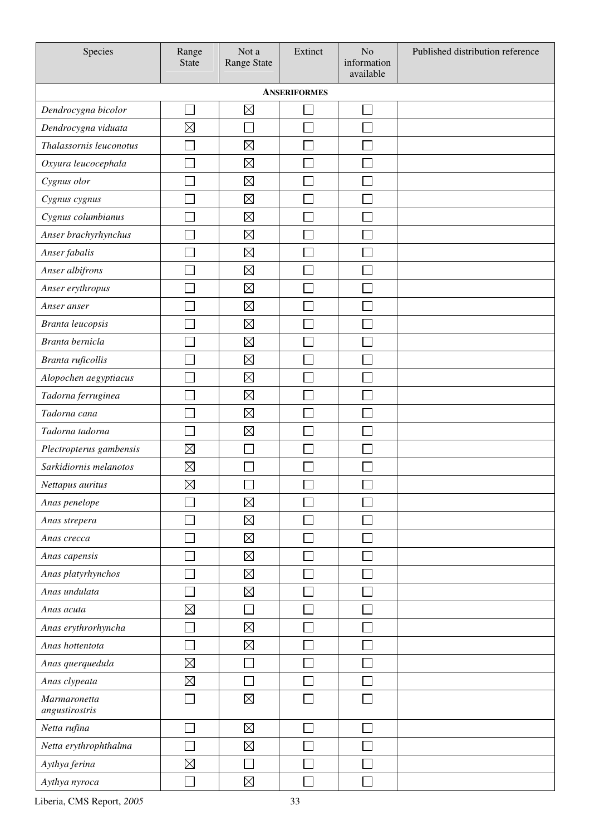| Species                        | Range<br><b>State</b> | Not a<br>Range State | Extinct | N <sub>o</sub><br>information<br>available | Published distribution reference |  |  |  |  |  |  |
|--------------------------------|-----------------------|----------------------|---------|--------------------------------------------|----------------------------------|--|--|--|--|--|--|
|                                | <b>ANSERIFORMES</b>   |                      |         |                                            |                                  |  |  |  |  |  |  |
| Dendrocygna bicolor            |                       | $\boxtimes$          |         |                                            |                                  |  |  |  |  |  |  |
| Dendrocygna viduata            | $\boxtimes$           |                      |         |                                            |                                  |  |  |  |  |  |  |
| Thalassornis leuconotus        |                       | $\boxtimes$          |         |                                            |                                  |  |  |  |  |  |  |
| Oxyura leucocephala            |                       | $\boxtimes$          |         |                                            |                                  |  |  |  |  |  |  |
| Cygnus olor                    |                       | $\boxtimes$          |         |                                            |                                  |  |  |  |  |  |  |
| Cygnus cygnus                  |                       | $\boxtimes$          |         |                                            |                                  |  |  |  |  |  |  |
| Cygnus columbianus             |                       | $\boxtimes$          |         |                                            |                                  |  |  |  |  |  |  |
| Anser brachyrhynchus           |                       | $\boxtimes$          |         |                                            |                                  |  |  |  |  |  |  |
| Anser fabalis                  |                       | $\boxtimes$          |         |                                            |                                  |  |  |  |  |  |  |
| Anser albifrons                |                       | $\boxtimes$          |         |                                            |                                  |  |  |  |  |  |  |
| Anser erythropus               |                       | $\boxtimes$          |         |                                            |                                  |  |  |  |  |  |  |
| Anser anser                    |                       | $\boxtimes$          |         |                                            |                                  |  |  |  |  |  |  |
| Branta leucopsis               |                       | $\boxtimes$          |         |                                            |                                  |  |  |  |  |  |  |
| Branta bernicla                |                       | $\boxtimes$          |         |                                            |                                  |  |  |  |  |  |  |
| Branta ruficollis              |                       | $\boxtimes$          |         |                                            |                                  |  |  |  |  |  |  |
| Alopochen aegyptiacus          |                       | $\boxtimes$          |         |                                            |                                  |  |  |  |  |  |  |
| Tadorna ferruginea             |                       | $\boxtimes$          |         |                                            |                                  |  |  |  |  |  |  |
| Tadorna cana                   |                       | $\boxtimes$          |         |                                            |                                  |  |  |  |  |  |  |
| Tadorna tadorna                |                       | $\boxtimes$          |         |                                            |                                  |  |  |  |  |  |  |
| Plectropterus gambensis        | $\boxtimes$           |                      |         |                                            |                                  |  |  |  |  |  |  |
| Sarkidiornis melanotos         | $\boxtimes$           |                      |         |                                            |                                  |  |  |  |  |  |  |
| Nettapus auritus               | $\boxtimes$           | ᄂ                    | ᄂ       | ٮ                                          |                                  |  |  |  |  |  |  |
| Anas penelope                  |                       | $\boxtimes$          |         |                                            |                                  |  |  |  |  |  |  |
| Anas strepera                  |                       | $\boxtimes$          |         |                                            |                                  |  |  |  |  |  |  |
| Anas crecca                    |                       | $\boxtimes$          |         |                                            |                                  |  |  |  |  |  |  |
| Anas capensis                  |                       | $\boxtimes$          |         |                                            |                                  |  |  |  |  |  |  |
| Anas platyrhynchos             |                       | $\boxtimes$          |         |                                            |                                  |  |  |  |  |  |  |
| Anas undulata                  |                       | $\boxtimes$          |         |                                            |                                  |  |  |  |  |  |  |
| Anas acuta                     | $\boxtimes$           | Г                    |         |                                            |                                  |  |  |  |  |  |  |
| Anas erythrorhyncha            |                       | $\boxtimes$          |         |                                            |                                  |  |  |  |  |  |  |
| Anas hottentota                | J.                    | $\boxtimes$          |         |                                            |                                  |  |  |  |  |  |  |
| Anas querquedula               | $\boxtimes$           |                      |         |                                            |                                  |  |  |  |  |  |  |
| Anas clypeata                  | $\boxtimes$           |                      |         |                                            |                                  |  |  |  |  |  |  |
| Marmaronetta<br>angustirostris |                       | $\boxtimes$          |         |                                            |                                  |  |  |  |  |  |  |
| Netta rufina                   | T,                    | $\boxtimes$          | Ξ       | Г                                          |                                  |  |  |  |  |  |  |
| Netta erythrophthalma          |                       | $\boxtimes$          |         |                                            |                                  |  |  |  |  |  |  |
| Aythya ferina                  | $\boxtimes$           | Γ                    |         |                                            |                                  |  |  |  |  |  |  |
| Aythya nyroca                  |                       | $\boxtimes$          |         |                                            |                                  |  |  |  |  |  |  |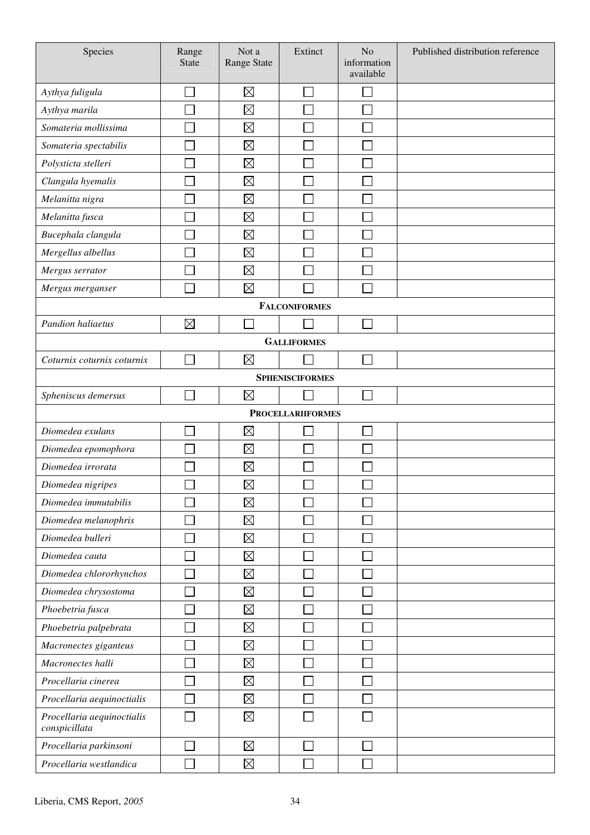| Species                                     | Range<br><b>State</b> | Not a<br>Range State | Extinct                  | N <sub>o</sub><br>information<br>available | Published distribution reference |  |  |  |  |
|---------------------------------------------|-----------------------|----------------------|--------------------------|--------------------------------------------|----------------------------------|--|--|--|--|
| Aythya fuligula                             |                       | $\boxtimes$          |                          |                                            |                                  |  |  |  |  |
| Aythya marila                               |                       | $\boxtimes$          |                          |                                            |                                  |  |  |  |  |
| Somateria mollissima                        |                       | $\boxtimes$          |                          |                                            |                                  |  |  |  |  |
| Somateria spectabilis                       |                       | $\boxtimes$          |                          |                                            |                                  |  |  |  |  |
| Polysticta stelleri                         |                       | $\boxtimes$          |                          |                                            |                                  |  |  |  |  |
| Clangula hyemalis                           |                       | $\boxtimes$          |                          |                                            |                                  |  |  |  |  |
| Melanitta nigra                             |                       | $\boxtimes$          |                          |                                            |                                  |  |  |  |  |
| Melanitta fusca                             |                       | $\boxtimes$          |                          |                                            |                                  |  |  |  |  |
| Bucephala clangula                          |                       | $\boxtimes$          |                          |                                            |                                  |  |  |  |  |
| Mergellus albellus                          |                       | $\boxtimes$          |                          |                                            |                                  |  |  |  |  |
| Mergus serrator                             |                       | $\boxtimes$          |                          |                                            |                                  |  |  |  |  |
| Mergus merganser                            |                       | $\boxtimes$          |                          |                                            |                                  |  |  |  |  |
|                                             |                       |                      | <b>FALCONIFORMES</b>     |                                            |                                  |  |  |  |  |
| Pandion haliaetus                           | $\boxtimes$           |                      |                          |                                            |                                  |  |  |  |  |
| <b>GALLIFORMES</b>                          |                       |                      |                          |                                            |                                  |  |  |  |  |
| Coturnix coturnix coturnix                  |                       | $\boxtimes$          |                          |                                            |                                  |  |  |  |  |
| <b>SPHENISCIFORMES</b>                      |                       |                      |                          |                                            |                                  |  |  |  |  |
| Spheniscus demersus                         |                       | $\boxtimes$          |                          |                                            |                                  |  |  |  |  |
|                                             |                       |                      | <b>PROCELLARIIFORMES</b> |                                            |                                  |  |  |  |  |
| Diomedea exulans                            |                       | $\boxtimes$          |                          |                                            |                                  |  |  |  |  |
| Diomedea epomophora                         |                       | $\boxtimes$          |                          |                                            |                                  |  |  |  |  |
| Diomedea irrorata                           |                       | $\boxtimes$          |                          |                                            |                                  |  |  |  |  |
| Diomedea nigripes                           | ᄂ                     | $\boxtimes$          | ᄂ                        | ٮ                                          |                                  |  |  |  |  |
| Diomedea immutabilis                        |                       | $\boxtimes$          |                          |                                            |                                  |  |  |  |  |
| Diomedea melanophris                        |                       | $\boxtimes$          |                          |                                            |                                  |  |  |  |  |
| Diomedea bulleri                            |                       | $\boxtimes$          |                          |                                            |                                  |  |  |  |  |
| Diomedea cauta                              |                       | $\boxtimes$          |                          |                                            |                                  |  |  |  |  |
| Diomedea chlororhynchos                     |                       | $\boxtimes$          |                          |                                            |                                  |  |  |  |  |
| Diomedea chrysostoma                        |                       | $\boxtimes$          |                          |                                            |                                  |  |  |  |  |
| Phoebetria fusca                            |                       | $\boxtimes$          |                          |                                            |                                  |  |  |  |  |
| Phoebetria palpebrata                       |                       | $\boxtimes$          |                          |                                            |                                  |  |  |  |  |
| Macronectes giganteus                       |                       | $\boxtimes$          |                          |                                            |                                  |  |  |  |  |
| Macronectes halli                           |                       | $\boxtimes$          |                          |                                            |                                  |  |  |  |  |
| Procellaria cinerea                         |                       | $\boxtimes$          |                          |                                            |                                  |  |  |  |  |
| Procellaria aequinoctialis                  |                       | $\boxtimes$          |                          |                                            |                                  |  |  |  |  |
| Procellaria aequinoctialis<br>conspicillata |                       | $\boxtimes$          |                          |                                            |                                  |  |  |  |  |
| Procellaria parkinsoni                      |                       | $\boxtimes$          |                          |                                            |                                  |  |  |  |  |
| Procellaria westlandica                     |                       | $\boxtimes$          |                          |                                            |                                  |  |  |  |  |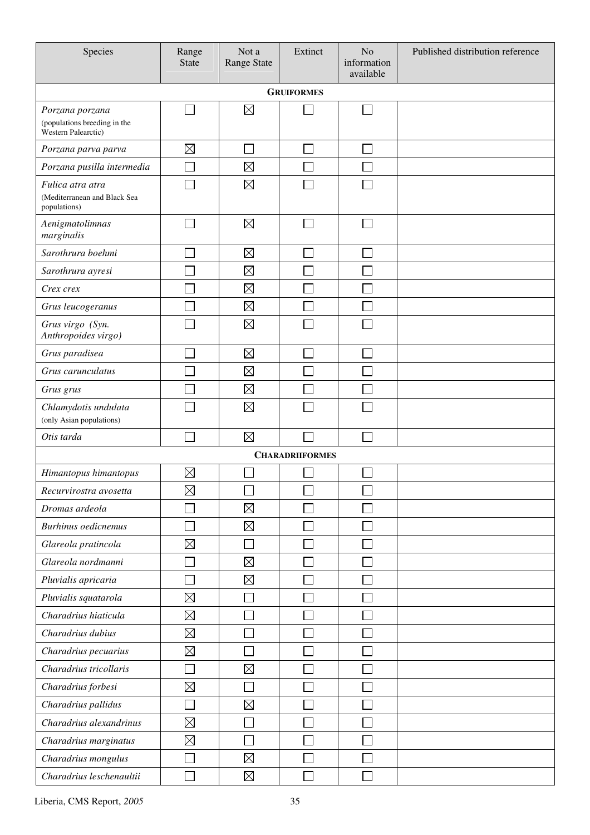| Species                                                                       | Range<br><b>State</b>       | Not a<br>Range State        | Extinct                | N <sub>o</sub><br>information<br>available | Published distribution reference |  |  |  |  |  |
|-------------------------------------------------------------------------------|-----------------------------|-----------------------------|------------------------|--------------------------------------------|----------------------------------|--|--|--|--|--|
| <b>GRUIFORMES</b>                                                             |                             |                             |                        |                                            |                                  |  |  |  |  |  |
| Porzana porzana<br>(populations breeding in the<br><b>Western Palearctic)</b> |                             | $\boxtimes$                 |                        |                                            |                                  |  |  |  |  |  |
| Porzana parva parva                                                           | $\boxtimes$                 | $\mathcal{L}_{\mathcal{A}}$ |                        |                                            |                                  |  |  |  |  |  |
| Porzana pusilla intermedia                                                    |                             | $\boxtimes$                 |                        |                                            |                                  |  |  |  |  |  |
| Fulica atra atra<br>(Mediterranean and Black Sea<br>populations)              |                             | $\boxtimes$                 |                        |                                            |                                  |  |  |  |  |  |
| Aenigmatolimnas<br>marginalis                                                 |                             | $\boxtimes$                 |                        | L.                                         |                                  |  |  |  |  |  |
| Sarothrura boehmi                                                             |                             | $\boxtimes$                 |                        |                                            |                                  |  |  |  |  |  |
| Sarothrura ayresi                                                             |                             | $\boxtimes$                 |                        |                                            |                                  |  |  |  |  |  |
| Crex crex                                                                     |                             | $\boxtimes$                 |                        |                                            |                                  |  |  |  |  |  |
| Grus leucogeranus                                                             |                             | $\boxtimes$                 |                        |                                            |                                  |  |  |  |  |  |
| Grus virgo (Syn.<br>Anthropoides virgo)                                       |                             | $\boxtimes$                 |                        |                                            |                                  |  |  |  |  |  |
| Grus paradisea                                                                |                             | $\boxtimes$                 |                        |                                            |                                  |  |  |  |  |  |
| Grus carunculatus                                                             |                             | $\boxtimes$                 |                        |                                            |                                  |  |  |  |  |  |
| Grus grus                                                                     |                             | $\boxtimes$                 |                        |                                            |                                  |  |  |  |  |  |
| Chlamydotis undulata<br>(only Asian populations)                              |                             | $\boxtimes$                 |                        |                                            |                                  |  |  |  |  |  |
| Otis tarda                                                                    | $\mathbb{R}^2$              | $\boxtimes$                 |                        | ┌                                          |                                  |  |  |  |  |  |
|                                                                               |                             |                             | <b>CHARADRIIFORMES</b> |                                            |                                  |  |  |  |  |  |
| Himantopus himantopus                                                         | $\boxtimes$                 |                             |                        |                                            |                                  |  |  |  |  |  |
| Recurvirostra avosetta                                                        | $\boxtimes$                 |                             |                        |                                            |                                  |  |  |  |  |  |
| Dromas ardeola                                                                |                             | $\boxtimes$                 |                        |                                            |                                  |  |  |  |  |  |
| <b>Burhinus oedicnemus</b>                                                    | ×                           | $\boxtimes$                 |                        |                                            |                                  |  |  |  |  |  |
| Glareola pratincola                                                           | $\boxtimes$                 | $\Box$                      |                        |                                            |                                  |  |  |  |  |  |
| Glareola nordmanni                                                            | $\mathcal{L}_{\mathcal{A}}$ | $\boxtimes$                 |                        | Г                                          |                                  |  |  |  |  |  |
| Pluvialis apricaria                                                           | ٦                           | $\boxtimes$                 |                        |                                            |                                  |  |  |  |  |  |
| Pluvialis squatarola                                                          | $\boxtimes$                 | $\Box$                      |                        |                                            |                                  |  |  |  |  |  |
| Charadrius hiaticula                                                          | $\boxtimes$                 |                             |                        |                                            |                                  |  |  |  |  |  |
| Charadrius dubius                                                             | $\boxtimes$                 |                             |                        |                                            |                                  |  |  |  |  |  |
| Charadrius pecuarius                                                          | $\boxtimes$                 |                             |                        |                                            |                                  |  |  |  |  |  |
| Charadrius tricollaris                                                        |                             | $\boxtimes$                 |                        |                                            |                                  |  |  |  |  |  |
| Charadrius forbesi                                                            | $\boxtimes$                 |                             |                        |                                            |                                  |  |  |  |  |  |
| Charadrius pallidus                                                           |                             | $\boxtimes$                 |                        |                                            |                                  |  |  |  |  |  |
| Charadrius alexandrinus                                                       | $\boxtimes$                 |                             |                        |                                            |                                  |  |  |  |  |  |
| Charadrius marginatus                                                         | $\boxtimes$                 | $\Box$                      |                        | Г                                          |                                  |  |  |  |  |  |
| Charadrius mongulus                                                           | Π                           | $\boxtimes$                 | Ξ                      | $\mathbb{R}^2$                             |                                  |  |  |  |  |  |
| Charadrius leschenaultii                                                      | $\mathbb{Z}$                | $\boxtimes$                 | $\Box$                 | П                                          |                                  |  |  |  |  |  |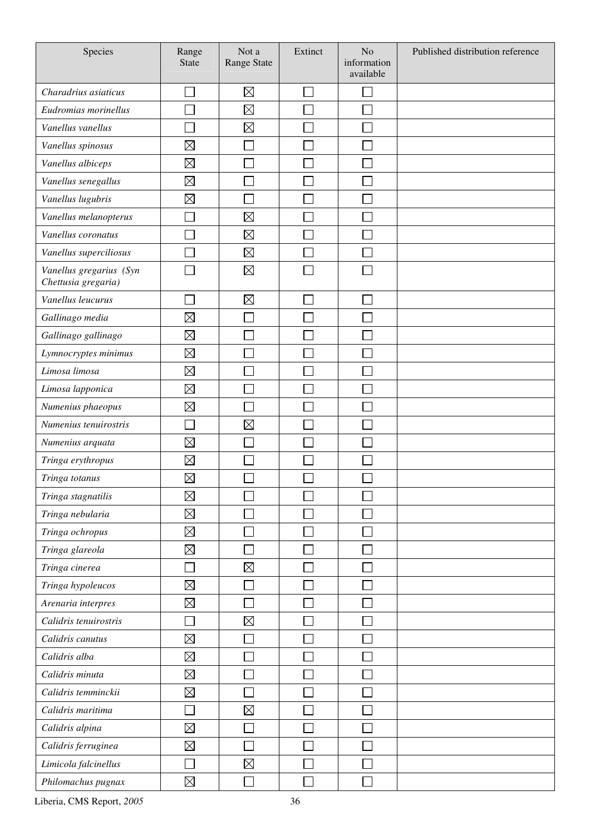| Species                                        | Range<br><b>State</b> | Not a<br><b>Range State</b> | Extinct | N <sub>o</sub><br>information<br>available | Published distribution reference |
|------------------------------------------------|-----------------------|-----------------------------|---------|--------------------------------------------|----------------------------------|
| Charadrius asiaticus                           |                       | $\boxtimes$                 |         |                                            |                                  |
| Eudromias morinellus                           |                       | $\boxtimes$                 |         |                                            |                                  |
| Vanellus vanellus                              |                       | $\boxtimes$                 |         |                                            |                                  |
| Vanellus spinosus                              | $\boxtimes$           |                             |         |                                            |                                  |
| Vanellus albiceps                              | $\boxtimes$           |                             |         |                                            |                                  |
| Vanellus senegallus                            | $\boxtimes$           |                             |         |                                            |                                  |
| Vanellus lugubris                              | $\boxtimes$           |                             |         |                                            |                                  |
| Vanellus melanopterus                          |                       | $\boxtimes$                 |         |                                            |                                  |
| Vanellus coronatus                             |                       | $\boxtimes$                 |         |                                            |                                  |
| Vanellus superciliosus                         |                       | $\boxtimes$                 |         |                                            |                                  |
| Vanellus gregarius (Syn<br>Chettusia gregaria) |                       | $\boxtimes$                 |         |                                            |                                  |
| Vanellus leucurus                              |                       | $\boxtimes$                 |         |                                            |                                  |
| Gallinago media                                | $\boxtimes$           |                             |         |                                            |                                  |
| Gallinago gallinago                            | $\boxtimes$           |                             |         |                                            |                                  |
| Lymnocryptes minimus                           | $\boxtimes$           |                             |         |                                            |                                  |
| Limosa limosa                                  | $\boxtimes$           |                             |         |                                            |                                  |
| Limosa lapponica                               | $\boxtimes$           |                             |         |                                            |                                  |
| Numenius phaeopus                              | $\boxtimes$           |                             |         |                                            |                                  |
| Numenius tenuirostris                          |                       | $\boxtimes$                 |         |                                            |                                  |
| Numenius arquata                               | $\boxtimes$           |                             |         |                                            |                                  |
| Tringa erythropus                              | ⊠                     |                             |         |                                            |                                  |
| Tringa totanus                                 | $\boxtimes$           |                             |         |                                            |                                  |
| Tringa stagnatilis                             | $\boxtimes$           |                             |         |                                            |                                  |
| Tringa nebularia                               | $\boxtimes$           |                             |         |                                            |                                  |
| Tringa ochropus                                | $\boxtimes$           |                             |         |                                            |                                  |
| Tringa glareola                                | $\boxtimes$           |                             |         |                                            |                                  |
| Tringa cinerea                                 |                       | $\boxtimes$                 |         |                                            |                                  |
| Tringa hypoleucos                              | $\boxtimes$           |                             |         |                                            |                                  |
| Arenaria interpres                             | $\boxtimes$           |                             |         |                                            |                                  |
| Calidris tenuirostris                          |                       | $\boxtimes$                 |         |                                            |                                  |
| Calidris canutus                               | $\boxtimes$           |                             |         |                                            |                                  |
| Calidris alba                                  | $\boxtimes$           |                             |         |                                            |                                  |
| Calidris minuta                                | $\boxtimes$           |                             |         |                                            |                                  |
| Calidris temminckii                            | $\boxtimes$           |                             |         |                                            |                                  |
| Calidris maritima                              |                       | $\boxtimes$                 |         |                                            |                                  |
| Calidris alpina                                | $\boxtimes$           |                             |         |                                            |                                  |
| Calidris ferruginea                            | $\boxtimes$           |                             |         |                                            |                                  |
| Limicola falcinellus                           |                       | $\boxtimes$                 |         |                                            |                                  |
| Philomachus pugnax                             | $\boxtimes$           |                             |         |                                            |                                  |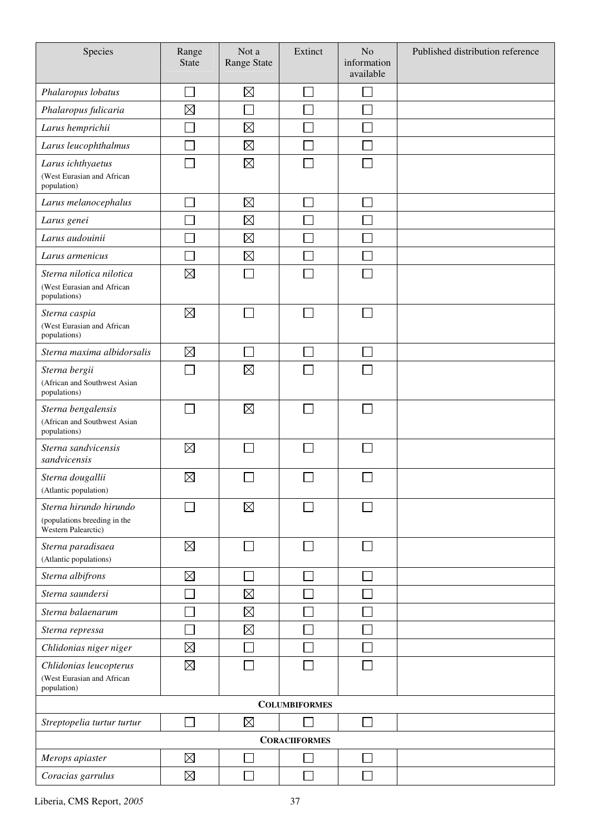| Species                                                             | Range<br>State | Not a<br><b>Range State</b> | Extinct                     | N <sub>o</sub><br>information<br>available | Published distribution reference |
|---------------------------------------------------------------------|----------------|-----------------------------|-----------------------------|--------------------------------------------|----------------------------------|
| Phalaropus lobatus                                                  |                | $\boxtimes$                 | l.                          |                                            |                                  |
| Phalaropus fulicaria                                                | $\boxtimes$    |                             |                             |                                            |                                  |
| Larus hemprichii                                                    |                | $\boxtimes$                 |                             |                                            |                                  |
| Larus leucophthalmus                                                |                | $\boxtimes$                 |                             |                                            |                                  |
| Larus ichthyaetus                                                   |                | $\boxtimes$                 |                             |                                            |                                  |
| (West Eurasian and African<br>population)                           |                |                             |                             |                                            |                                  |
| Larus melanocephalus                                                |                | $\boxtimes$                 |                             |                                            |                                  |
| Larus genei                                                         |                | $\boxtimes$                 |                             |                                            |                                  |
| Larus audouinii                                                     |                | $\boxtimes$                 |                             |                                            |                                  |
| Larus armenicus                                                     |                | $\boxtimes$                 |                             |                                            |                                  |
| Sterna nilotica nilotica                                            | $\boxtimes$    |                             |                             |                                            |                                  |
| (West Eurasian and African<br>populations)                          |                |                             |                             |                                            |                                  |
| Sterna caspia                                                       | $\boxtimes$    |                             | $\sim$                      |                                            |                                  |
| (West Eurasian and African<br>populations)                          |                |                             |                             |                                            |                                  |
| Sterna maxima albidorsalis                                          | $\boxtimes$    | e i                         |                             |                                            |                                  |
| Sterna bergii                                                       |                | $\boxtimes$                 |                             |                                            |                                  |
| (African and Southwest Asian<br>populations)                        |                |                             |                             |                                            |                                  |
| Sterna bengalensis                                                  |                | $\boxtimes$                 |                             |                                            |                                  |
| (African and Southwest Asian<br>populations)                        |                |                             |                             |                                            |                                  |
| Sterna sandvicensis<br>sandvicensis                                 | $\boxtimes$    |                             |                             |                                            |                                  |
| Sterna dougallii<br>(Atlantic population)                           | $\boxtimes$    |                             |                             |                                            |                                  |
| Sterna hirundo hirundo                                              |                | $\boxtimes$                 |                             |                                            |                                  |
| (populations breeding in the<br>Western Palearctic)                 |                |                             |                             |                                            |                                  |
| Sterna paradisaea                                                   | $\boxtimes$    | $\overline{\phantom{a}}$    | $\sim$                      |                                            |                                  |
| (Atlantic populations)                                              | $\boxtimes$    |                             |                             |                                            |                                  |
| Sterna albifrons<br>Sterna saundersi                                |                |                             | $\mathcal{L}_{\mathcal{A}}$ |                                            |                                  |
|                                                                     |                | $\boxtimes$                 |                             |                                            |                                  |
| Sterna balaenarum                                                   |                | $\boxtimes$                 |                             |                                            |                                  |
| Sterna repressa                                                     |                | $\boxtimes$                 |                             |                                            |                                  |
| Chlidonias niger niger                                              | $\boxtimes$    |                             |                             |                                            |                                  |
| Chlidonias leucopterus<br>(West Eurasian and African<br>population) | $\boxtimes$    |                             |                             |                                            |                                  |
|                                                                     |                |                             | <b>COLUMBIFORMES</b>        |                                            |                                  |
| Streptopelia turtur turtur                                          |                | $\boxtimes$                 |                             |                                            |                                  |
|                                                                     |                |                             | <b>CORACIIFORMES</b>        |                                            |                                  |
| Merops apiaster                                                     | $\boxtimes$    |                             |                             |                                            |                                  |
| Coracias garrulus                                                   | $\boxtimes$    |                             |                             |                                            |                                  |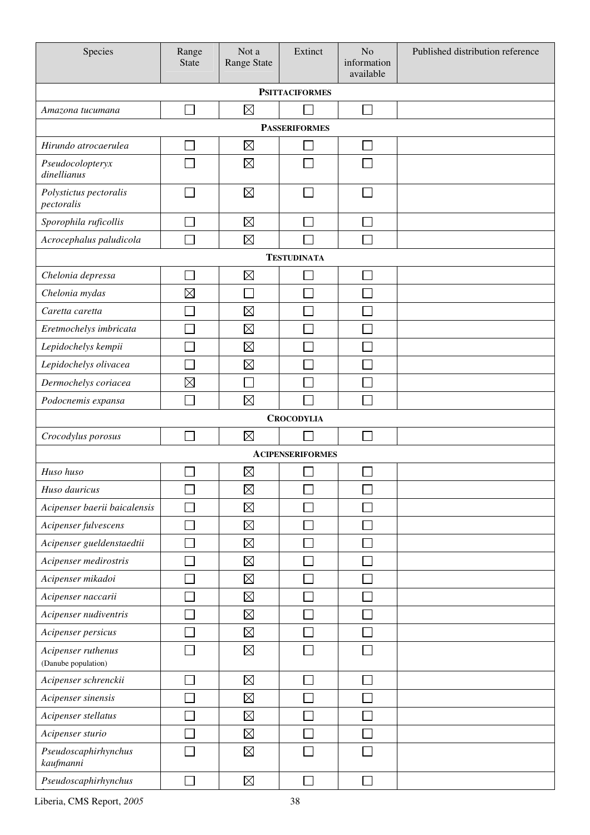| Species                                   | Range<br><b>State</b> | Not a<br>Range State | Extinct                 | N <sub>o</sub><br>information<br>available | Published distribution reference |  |  |  |  |  |
|-------------------------------------------|-----------------------|----------------------|-------------------------|--------------------------------------------|----------------------------------|--|--|--|--|--|
|                                           |                       |                      | <b>PSITTACIFORMES</b>   |                                            |                                  |  |  |  |  |  |
| Amazona tucumana                          |                       | $\boxtimes$          |                         |                                            |                                  |  |  |  |  |  |
| <b>PASSERIFORMES</b>                      |                       |                      |                         |                                            |                                  |  |  |  |  |  |
| Hirundo atrocaerulea                      |                       | $\boxtimes$          |                         |                                            |                                  |  |  |  |  |  |
| Pseudocolopteryx<br>dinellianus           |                       | $\boxtimes$          |                         |                                            |                                  |  |  |  |  |  |
| Polystictus pectoralis<br>pectoralis      |                       | $\boxtimes$          |                         |                                            |                                  |  |  |  |  |  |
| Sporophila ruficollis                     |                       | $\boxtimes$          |                         |                                            |                                  |  |  |  |  |  |
| Acrocephalus paludicola                   |                       | $\boxtimes$          |                         |                                            |                                  |  |  |  |  |  |
|                                           |                       |                      | <b>TESTUDINATA</b>      |                                            |                                  |  |  |  |  |  |
| Chelonia depressa                         |                       | $\boxtimes$          |                         |                                            |                                  |  |  |  |  |  |
| Chelonia mydas                            | $\boxtimes$           |                      |                         |                                            |                                  |  |  |  |  |  |
| Caretta caretta                           |                       | $\boxtimes$          |                         |                                            |                                  |  |  |  |  |  |
| Eretmochelys imbricata                    |                       | $\boxtimes$          |                         |                                            |                                  |  |  |  |  |  |
| Lepidochelys kempii                       |                       | $\boxtimes$          |                         |                                            |                                  |  |  |  |  |  |
| Lepidochelys olivacea                     |                       | $\boxtimes$          |                         |                                            |                                  |  |  |  |  |  |
| Dermochelys coriacea                      | $\boxtimes$           |                      |                         |                                            |                                  |  |  |  |  |  |
| Podocnemis expansa                        |                       | $\boxtimes$          |                         |                                            |                                  |  |  |  |  |  |
| <b>CROCODYLIA</b>                         |                       |                      |                         |                                            |                                  |  |  |  |  |  |
| Crocodylus porosus                        |                       | $\boxtimes$          |                         | L.                                         |                                  |  |  |  |  |  |
|                                           |                       |                      | <b>ACIPENSERIFORMES</b> |                                            |                                  |  |  |  |  |  |
| Huso huso                                 |                       | $\boxtimes$          |                         |                                            |                                  |  |  |  |  |  |
| Huso dauricus                             |                       | $\boxtimes$          |                         |                                            |                                  |  |  |  |  |  |
| Acipenser baerii baicalensis              |                       | $\boxtimes$          |                         |                                            |                                  |  |  |  |  |  |
| Acipenser fulvescens                      |                       | $\boxtimes$          |                         |                                            |                                  |  |  |  |  |  |
| Acipenser gueldenstaedtii                 |                       | $\boxtimes$          |                         |                                            |                                  |  |  |  |  |  |
| Acipenser medirostris                     |                       | $\boxtimes$          |                         |                                            |                                  |  |  |  |  |  |
| Acipenser mikadoi                         |                       | $\boxtimes$          |                         |                                            |                                  |  |  |  |  |  |
| Acipenser naccarii                        |                       | $\boxtimes$          |                         |                                            |                                  |  |  |  |  |  |
| Acipenser nudiventris                     |                       | $\boxtimes$          |                         |                                            |                                  |  |  |  |  |  |
| Acipenser persicus                        |                       | $\boxtimes$          |                         |                                            |                                  |  |  |  |  |  |
| Acipenser ruthenus<br>(Danube population) |                       | $\boxtimes$          |                         |                                            |                                  |  |  |  |  |  |
| Acipenser schrenckii                      |                       | $\boxtimes$          |                         | П                                          |                                  |  |  |  |  |  |
| Acipenser sinensis                        |                       | $\boxtimes$          |                         |                                            |                                  |  |  |  |  |  |
| Acipenser stellatus                       |                       | $\boxtimes$          |                         |                                            |                                  |  |  |  |  |  |
| Acipenser sturio                          |                       | $\boxtimes$          |                         |                                            |                                  |  |  |  |  |  |
| Pseudoscaphirhynchus<br>kaufmanni         |                       | $\boxtimes$          |                         |                                            |                                  |  |  |  |  |  |
| Pseudoscaphirhynchus                      | Ξ                     | $\boxtimes$          | $\sim$                  | П                                          |                                  |  |  |  |  |  |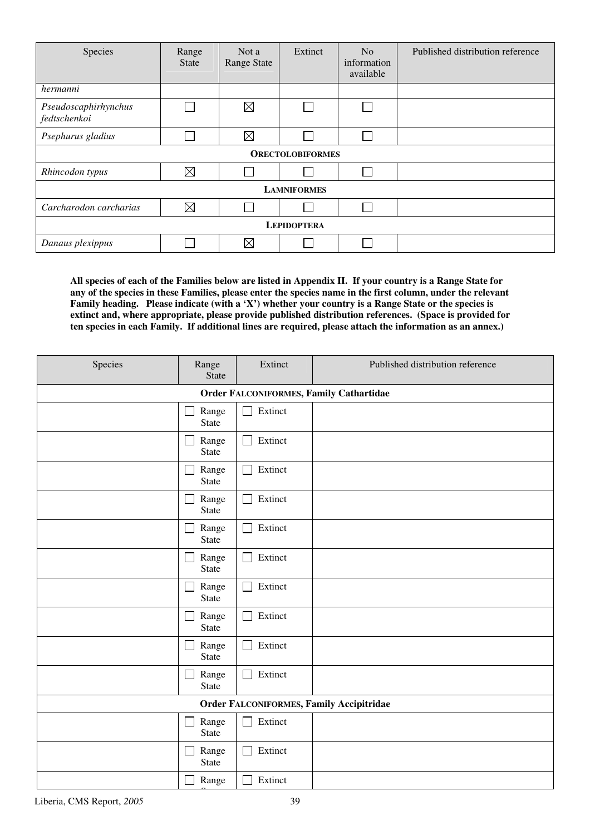| Species                              | Range<br><b>State</b> | Not a<br><b>Range State</b> | Extinct                 | N <sub>o</sub><br>information<br>available | Published distribution reference |  |  |  |  |
|--------------------------------------|-----------------------|-----------------------------|-------------------------|--------------------------------------------|----------------------------------|--|--|--|--|
| hermanni                             |                       |                             |                         |                                            |                                  |  |  |  |  |
| Pseudoscaphirhynchus<br>fedtschenkoi |                       | $\boxtimes$                 |                         | $\Box$                                     |                                  |  |  |  |  |
| Psephurus gladius                    |                       | $\boxtimes$                 |                         |                                            |                                  |  |  |  |  |
|                                      |                       |                             | <b>ORECTOLOBIFORMES</b> |                                            |                                  |  |  |  |  |
| Rhincodon typus                      | $\boxtimes$           |                             |                         | <b>Contract</b>                            |                                  |  |  |  |  |
|                                      |                       |                             | <b>LAMNIFORMES</b>      |                                            |                                  |  |  |  |  |
| Carcharodon carcharias               | $\boxtimes$           |                             |                         |                                            |                                  |  |  |  |  |
| <b>LEPIDOPTERA</b>                   |                       |                             |                         |                                            |                                  |  |  |  |  |
| Danaus plexippus                     |                       | $\boxtimes$                 |                         |                                            |                                  |  |  |  |  |

**All species of each of the Families below are listed in Appendix II. If your country is a Range State for any of the species in these Families, please enter the species name in the first column, under the relevant Family heading. Please indicate (with a 'X') whether your country is a Range State or the species is extinct and, where appropriate, please provide published distribution references. (Space is provided for ten species in each Family. If additional lines are required, please attach the information as an annex.)** 

| Species                                         | Range<br>State        | Extinct                 | Published distribution reference |  |  |  |
|-------------------------------------------------|-----------------------|-------------------------|----------------------------------|--|--|--|
| <b>Order FALCONIFORMES, Family Cathartidae</b>  |                       |                         |                                  |  |  |  |
|                                                 | Range<br>State        | Extinct                 |                                  |  |  |  |
|                                                 | Range<br>State        | Extinct<br>П            |                                  |  |  |  |
|                                                 | Range<br>State        | Extinct                 |                                  |  |  |  |
|                                                 | Range<br>State        | Extinct<br>$\Box$       |                                  |  |  |  |
|                                                 | Range<br>State        | Extinct                 |                                  |  |  |  |
|                                                 | Range<br>State        | Extinct                 |                                  |  |  |  |
|                                                 | Range<br>State        | Extinct                 |                                  |  |  |  |
|                                                 | Range<br>State        | Extinct                 |                                  |  |  |  |
|                                                 | Range<br>State        | Extinct                 |                                  |  |  |  |
|                                                 | Range<br><b>State</b> | Extinct                 |                                  |  |  |  |
| <b>Order FALCONIFORMES, Family Accipitridae</b> |                       |                         |                                  |  |  |  |
|                                                 | Range<br>State        | Extinct                 |                                  |  |  |  |
|                                                 | Range<br>State        | Extinct<br>$\mathbf{I}$ |                                  |  |  |  |
|                                                 | Range                 | Extinct                 |                                  |  |  |  |

State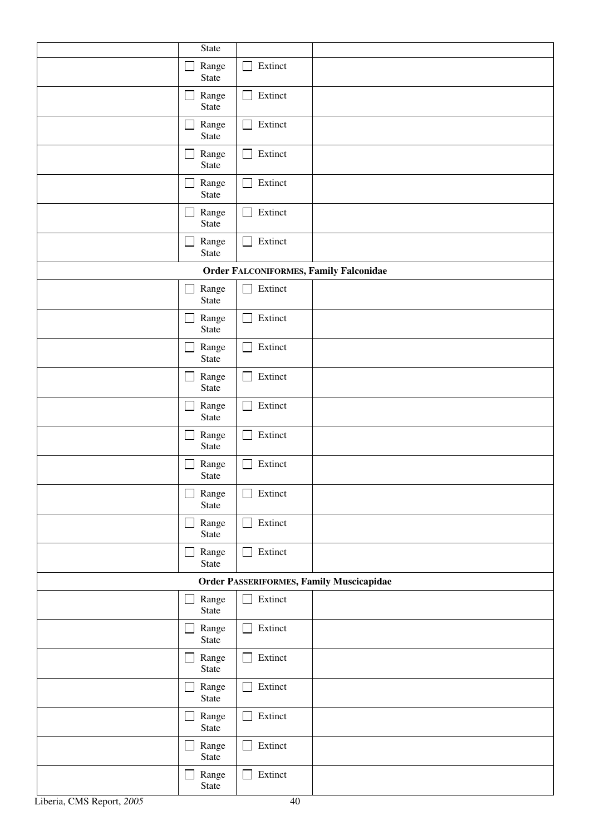|                                                 | State                          |                           |  |  |  |  |  |
|-------------------------------------------------|--------------------------------|---------------------------|--|--|--|--|--|
|                                                 | Range<br>State                 | Extinct                   |  |  |  |  |  |
|                                                 | Range<br>State                 | Extinct<br>$\mathsf{L}$   |  |  |  |  |  |
|                                                 | Range<br>State                 | Extinct                   |  |  |  |  |  |
|                                                 | Range<br>State                 | Extinct                   |  |  |  |  |  |
|                                                 | Range<br>State                 | Extinct                   |  |  |  |  |  |
|                                                 | Range<br>State                 | Extinct                   |  |  |  |  |  |
|                                                 | Range<br>$\Box$<br>State       | Extinct<br>$\Box$         |  |  |  |  |  |
| <b>Order FALCONIFORMES, Family Falconidae</b>   |                                |                           |  |  |  |  |  |
|                                                 | Range<br>$\mathbf{I}$          | Extinct<br>$\blacksquare$ |  |  |  |  |  |
|                                                 | State                          |                           |  |  |  |  |  |
|                                                 | Range<br>State                 | Extinct                   |  |  |  |  |  |
|                                                 | Range<br>State                 | Extinct                   |  |  |  |  |  |
|                                                 | Range<br>State                 | Extinct<br>$\mathbf{I}$   |  |  |  |  |  |
|                                                 | Range<br>State                 | Extinct                   |  |  |  |  |  |
|                                                 | Range<br>State                 | Extinct                   |  |  |  |  |  |
|                                                 | Range<br>State                 | Extinct                   |  |  |  |  |  |
|                                                 | Range<br>State                 | Extinct                   |  |  |  |  |  |
|                                                 | Range<br>State                 | Extinct                   |  |  |  |  |  |
|                                                 | Range<br>$\perp$<br>State      | Extinct<br>П              |  |  |  |  |  |
| <b>Order PASSERIFORMES, Family Muscicapidae</b> |                                |                           |  |  |  |  |  |
|                                                 | Range<br>State                 | Extinct<br>$\mathbf{L}$   |  |  |  |  |  |
|                                                 | Range<br>State                 | Extinct                   |  |  |  |  |  |
|                                                 | Range<br>$\mathsf{L}$<br>State | Extinct<br>$\Box$         |  |  |  |  |  |
|                                                 | Range<br>State                 | Extinct                   |  |  |  |  |  |
|                                                 | Range<br>State                 | Extinct                   |  |  |  |  |  |
|                                                 | Range<br>$\sim$<br>State       | Extinct                   |  |  |  |  |  |
|                                                 | Range<br>State                 | Extinct                   |  |  |  |  |  |